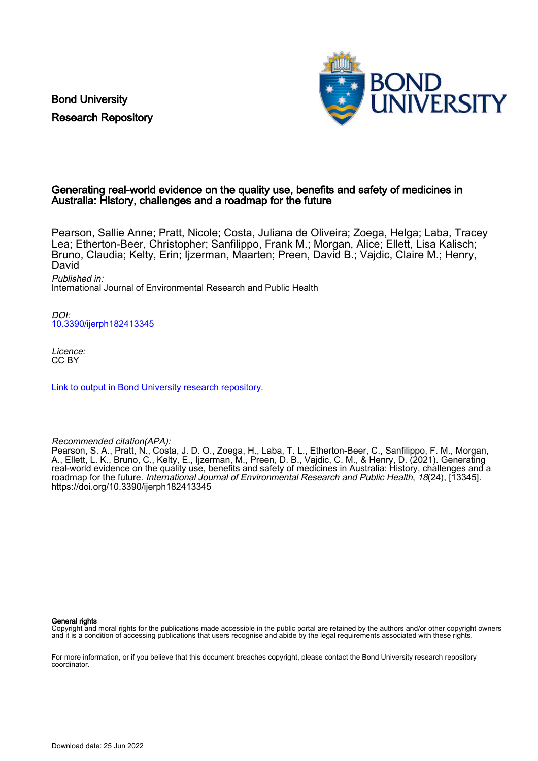Bond University Research Repository



# Generating real-world evidence on the quality use, benefits and safety of medicines in Australia: History, challenges and a roadmap for the future

Pearson, Sallie Anne; Pratt, Nicole; Costa, Juliana de Oliveira; Zoega, Helga; Laba, Tracey Lea; Etherton-Beer, Christopher; Sanfilippo, Frank M.; Morgan, Alice; Ellett, Lisa Kalisch; Bruno, Claudia; Kelty, Erin; Ijzerman, Maarten; Preen, David B.; Vajdic, Claire M.; Henry, David

Published in:

International Journal of Environmental Research and Public Health

DOI: [10.3390/ijerph182413345](https://doi.org/10.3390/ijerph182413345)

Licence: CC BY

[Link to output in Bond University research repository.](https://research.bond.edu.au/en/publications/43bdd572-194f-4a8b-9780-63b9936fc26c)

Recommended citation(APA):

Pearson, S. A., Pratt, N., Costa, J. D. O., Zoega, H., Laba, T. L., Etherton-Beer, C., Sanfilippo, F. M., Morgan, A., Ellett, L. K., Bruno, C., Kelty, E., Ijzerman, M., Preen, D. B., Vajdic, C. M., & Henry, D. (2021). Generating real-world evidence on the quality use, benefits and safety of medicines in Australia: History, challenges and a roadmap for the future. International Journal of Environmental Research and Public Health, 18(24), [13345]. <https://doi.org/10.3390/ijerph182413345>

#### General rights

Copyright and moral rights for the publications made accessible in the public portal are retained by the authors and/or other copyright owners and it is a condition of accessing publications that users recognise and abide by the legal requirements associated with these rights.

For more information, or if you believe that this document breaches copyright, please contact the Bond University research repository coordinator.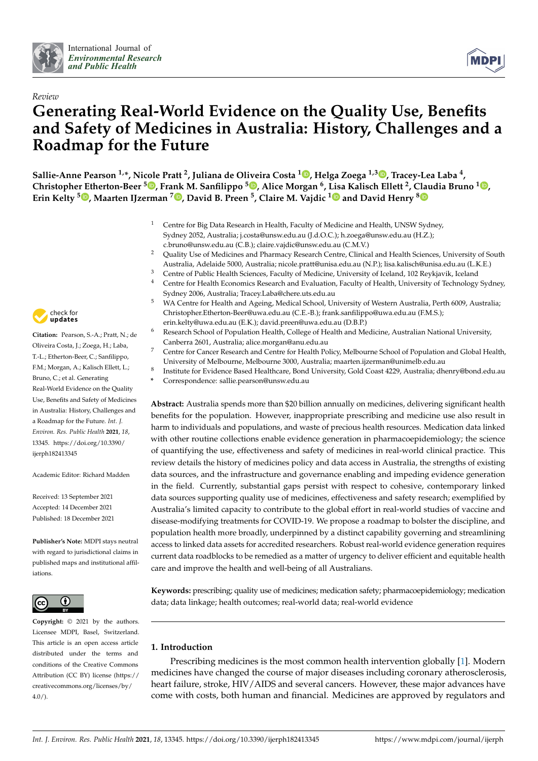



# *Review* **Generating Real-World Evidence on the Quality Use, Benefits and Safety of Medicines in Australia: History, Challenges and a Roadmap for the Future**

**Sallie-Anne Pearson 1,\*, Nicole Pratt <sup>2</sup> , Juliana de Oliveira Costa <sup>1</sup> [,](https://orcid.org/0000-0002-8355-023X) Helga Zoega 1,3 [,](https://orcid.org/0000-0003-0761-9028) Tracey-Lea Laba <sup>4</sup> , Christopher Etherton-Beer <sup>5</sup> [,](https://orcid.org/0000-0001-5148-0188) Frank M. Sanfilippo <sup>5</sup> [,](https://orcid.org/0000-0003-3639-0787) Alice Morgan <sup>6</sup> , Lisa Kalisch Ellett <sup>2</sup> , [Clau](https://orcid.org/0000-0003-2934-2242)dia Bruno <sup>1</sup> [,](https://orcid.org/0000-0001-7789-3415) Erin Kelty <sup>5</sup> [,](https://orcid.org/0000-0002-0841-2216) Maarten IJzerman <sup>7</sup> [,](https://orcid.org/0000-0001-5788-5805) David B. Preen <sup>5</sup> , Claire M. Vajdic [1](https://orcid.org/0000-0002-3612-8298) and David Henry <sup>8</sup>**

- <sup>1</sup> Centre for Big Data Research in Health, Faculty of Medicine and Health, UNSW Sydney, Sydney 2052, Australia; j.costa@unsw.edu.au (J.d.O.C.); h.zoega@unsw.edu.au (H.Z.); c.bruno@unsw.edu.au (C.B.); claire.vajdic@unsw.edu.au (C.M.V.)
- <sup>2</sup> Quality Use of Medicines and Pharmacy Research Centre, Clinical and Health Sciences, University of South Australia, Adelaide 5000, Australia; nicole.pratt@unisa.edu.au (N.P.); lisa.kalisch@unisa.edu.au (L.K.E.)
- <sup>3</sup> Centre of Public Health Sciences, Faculty of Medicine, University of Iceland, 102 Reykjavik, Iceland
- <sup>4</sup> Centre for Health Economics Research and Evaluation, Faculty of Health, University of Technology Sydney, Sydney 2006, Australia; Tracey.Laba@chere.uts.edu.au
- <sup>5</sup> WA Centre for Health and Ageing, Medical School, University of Western Australia, Perth 6009, Australia; Christopher.Etherton-Beer@uwa.edu.au (C.E.-B.); frank.sanfilippo@uwa.edu.au (F.M.S.); erin.kelty@uwa.edu.au (E.K.); david.preen@uwa.edu.au (D.B.P.)
	- <sup>6</sup> Research School of Population Health, College of Health and Medicine, Australian National University, Canberra 2601, Australia; alice.morgan@anu.edu.au
- <sup>7</sup> Centre for Cancer Research and Centre for Health Policy, Melbourne School of Population and Global Health, University of Melbourne, Melbourne 3000, Australia; maarten.ijzerman@unimelb.edu.au
- 8 Institute for Evidence Based Healthcare, Bond University, Gold Coast 4229, Australia; dhenry@bond.edu.au
	- **\*** Correspondence: sallie.pearson@unsw.edu.au

**Abstract:** Australia spends more than \$20 billion annually on medicines, delivering significant health benefits for the population. However, inappropriate prescribing and medicine use also result in harm to individuals and populations, and waste of precious health resources. Medication data linked with other routine collections enable evidence generation in pharmacoepidemiology; the science of quantifying the use, effectiveness and safety of medicines in real-world clinical practice. This review details the history of medicines policy and data access in Australia, the strengths of existing data sources, and the infrastructure and governance enabling and impeding evidence generation in the field. Currently, substantial gaps persist with respect to cohesive, contemporary linked data sources supporting quality use of medicines, effectiveness and safety research; exemplified by Australia's limited capacity to contribute to the global effort in real-world studies of vaccine and disease-modifying treatments for COVID-19. We propose a roadmap to bolster the discipline, and population health more broadly, underpinned by a distinct capability governing and streamlining access to linked data assets for accredited researchers. Robust real-world evidence generation requires current data roadblocks to be remedied as a matter of urgency to deliver efficient and equitable health care and improve the health and well-being of all Australians.

**Keywords:** prescribing; quality use of medicines; medication safety; pharmacoepidemiology; medication data; data linkage; health outcomes; real-world data; real-world evidence

# **1. Introduction**

Prescribing medicines is the most common health intervention globally [\[1\]](#page-16-0). Modern medicines have changed the course of major diseases including coronary atherosclerosis, heart failure, stroke, HIV/AIDS and several cancers. However, these major advances have come with costs, both human and financial. Medicines are approved by regulators and



**Citation:** Pearson, S.-A.; Pratt, N.; de Oliveira Costa, J.; Zoega, H.; Laba, T.-L.; Etherton-Beer, C.; Sanfilippo, F.M.; Morgan, A.; Kalisch Ellett, L.; Bruno, C.; et al. Generating Real-World Evidence on the Quality Use, Benefits and Safety of Medicines in Australia: History, Challenges and a Roadmap for the Future. *Int. J. Environ. Res. Public Health* **2021**, *18*, 13345. [https://doi.org/10.3390/](https://doi.org/10.3390/ijerph182413345) [ijerph182413345](https://doi.org/10.3390/ijerph182413345)

Academic Editor: Richard Madden

Received: 13 September 2021 Accepted: 14 December 2021 Published: 18 December 2021

**Publisher's Note:** MDPI stays neutral with regard to jurisdictional claims in published maps and institutional affiliations.



**Copyright:** © 2021 by the authors. Licensee MDPI, Basel, Switzerland. This article is an open access article distributed under the terms and conditions of the Creative Commons Attribution (CC BY) license (https:/[/](https://creativecommons.org/licenses/by/4.0/) [creativecommons.org/licenses/by/](https://creativecommons.org/licenses/by/4.0/)  $4.0/$ ).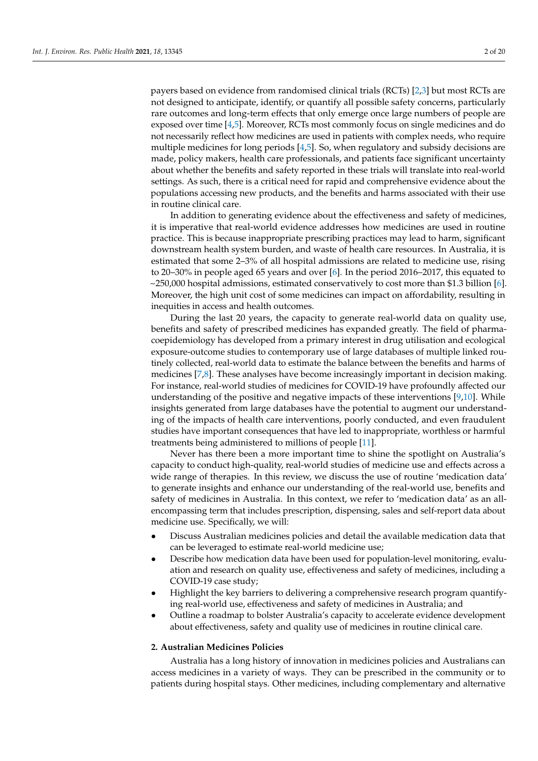payers based on evidence from randomised clinical trials (RCTs) [\[2](#page-16-1)[,3\]](#page-16-2) but most RCTs are not designed to anticipate, identify, or quantify all possible safety concerns, particularly rare outcomes and long-term effects that only emerge once large numbers of people are exposed over time [\[4](#page-16-3)[,5\]](#page-16-4). Moreover, RCTs most commonly focus on single medicines and do not necessarily reflect how medicines are used in patients with complex needs, who require multiple medicines for long periods [\[4](#page-16-3)[,5\]](#page-16-4). So, when regulatory and subsidy decisions are made, policy makers, health care professionals, and patients face significant uncertainty about whether the benefits and safety reported in these trials will translate into real-world settings. As such, there is a critical need for rapid and comprehensive evidence about the populations accessing new products, and the benefits and harms associated with their use in routine clinical care.

In addition to generating evidence about the effectiveness and safety of medicines, it is imperative that real-world evidence addresses how medicines are used in routine practice. This is because inappropriate prescribing practices may lead to harm, significant downstream health system burden, and waste of health care resources. In Australia, it is estimated that some 2–3% of all hospital admissions are related to medicine use, rising to 20–30% in people aged 65 years and over [\[6\]](#page-16-5). In the period 2016–2017, this equated to  $\sim$ 250,000 hospital admissions, estimated conservatively to cost more than \$1.3 billion [\[6\]](#page-16-5). Moreover, the high unit cost of some medicines can impact on affordability, resulting in inequities in access and health outcomes.

During the last 20 years, the capacity to generate real-world data on quality use, benefits and safety of prescribed medicines has expanded greatly. The field of pharmacoepidemiology has developed from a primary interest in drug utilisation and ecological exposure-outcome studies to contemporary use of large databases of multiple linked routinely collected, real-world data to estimate the balance between the benefits and harms of medicines [\[7](#page-16-6)[,8\]](#page-16-7). These analyses have become increasingly important in decision making. For instance, real-world studies of medicines for COVID-19 have profoundly affected our understanding of the positive and negative impacts of these interventions [\[9](#page-17-0)[,10\]](#page-17-1). While insights generated from large databases have the potential to augment our understanding of the impacts of health care interventions, poorly conducted, and even fraudulent studies have important consequences that have led to inappropriate, worthless or harmful treatments being administered to millions of people [\[11\]](#page-17-2).

Never has there been a more important time to shine the spotlight on Australia's capacity to conduct high-quality, real-world studies of medicine use and effects across a wide range of therapies. In this review, we discuss the use of routine 'medication data' to generate insights and enhance our understanding of the real-world use, benefits and safety of medicines in Australia. In this context, we refer to 'medication data' as an allencompassing term that includes prescription, dispensing, sales and self-report data about medicine use. Specifically, we will:

- Discuss Australian medicines policies and detail the available medication data that can be leveraged to estimate real-world medicine use;
- Describe how medication data have been used for population-level monitoring, evaluation and research on quality use, effectiveness and safety of medicines, including a COVID-19 case study;
- Highlight the key barriers to delivering a comprehensive research program quantifying real-world use, effectiveness and safety of medicines in Australia; and
- Outline a roadmap to bolster Australia's capacity to accelerate evidence development about effectiveness, safety and quality use of medicines in routine clinical care.

# **2. Australian Medicines Policies**

Australia has a long history of innovation in medicines policies and Australians can access medicines in a variety of ways. They can be prescribed in the community or to patients during hospital stays. Other medicines, including complementary and alternative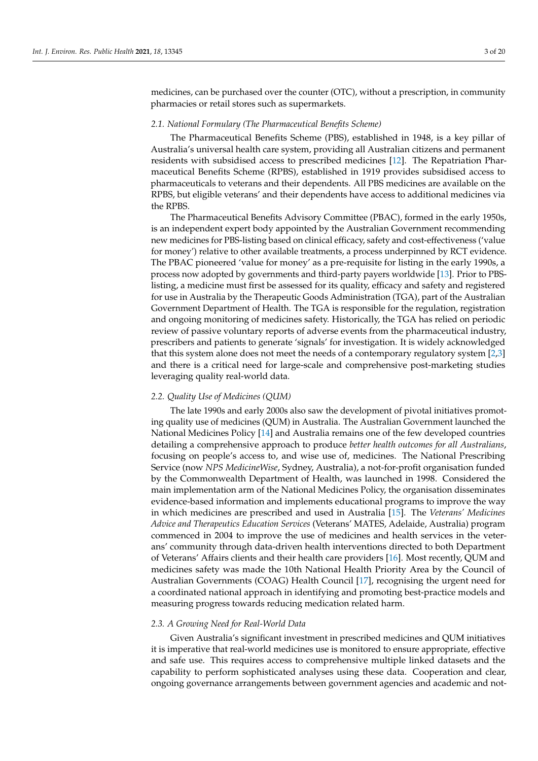medicines, can be purchased over the counter (OTC), without a prescription, in community pharmacies or retail stores such as supermarkets.

#### *2.1. National Formulary (The Pharmaceutical Benefits Scheme)*

The Pharmaceutical Benefits Scheme (PBS), established in 1948, is a key pillar of Australia's universal health care system, providing all Australian citizens and permanent residents with subsidised access to prescribed medicines [\[12\]](#page-17-3). The Repatriation Pharmaceutical Benefits Scheme (RPBS), established in 1919 provides subsidised access to pharmaceuticals to veterans and their dependents. All PBS medicines are available on the RPBS, but eligible veterans' and their dependents have access to additional medicines via the RPBS.

The Pharmaceutical Benefits Advisory Committee (PBAC), formed in the early 1950s, is an independent expert body appointed by the Australian Government recommending new medicines for PBS-listing based on clinical efficacy, safety and cost-effectiveness ('value for money') relative to other available treatments, a process underpinned by RCT evidence. The PBAC pioneered 'value for money' as a pre-requisite for listing in the early 1990s, a process now adopted by governments and third-party payers worldwide [\[13\]](#page-17-4). Prior to PBSlisting, a medicine must first be assessed for its quality, efficacy and safety and registered for use in Australia by the Therapeutic Goods Administration (TGA), part of the Australian Government Department of Health. The TGA is responsible for the regulation, registration and ongoing monitoring of medicines safety. Historically, the TGA has relied on periodic review of passive voluntary reports of adverse events from the pharmaceutical industry, prescribers and patients to generate 'signals' for investigation. It is widely acknowledged that this system alone does not meet the needs of a contemporary regulatory system [\[2](#page-16-1)[,3\]](#page-16-2) and there is a critical need for large-scale and comprehensive post-marketing studies leveraging quality real-world data.

#### *2.2. Quality Use of Medicines (QUM)*

The late 1990s and early 2000s also saw the development of pivotal initiatives promoting quality use of medicines (QUM) in Australia. The Australian Government launched the National Medicines Policy [\[14\]](#page-17-5) and Australia remains one of the few developed countries detailing a comprehensive approach to produce *better health outcomes for all Australians*, focusing on people's access to, and wise use of, medicines. The National Prescribing Service (now *NPS MedicineWise*, Sydney, Australia), a not-for-profit organisation funded by the Commonwealth Department of Health, was launched in 1998. Considered the main implementation arm of the National Medicines Policy, the organisation disseminates evidence-based information and implements educational programs to improve the way in which medicines are prescribed and used in Australia [\[15\]](#page-17-6). The *Veterans' Medicines Advice and Therapeutics Education Services* (Veterans' MATES, Adelaide, Australia) program commenced in 2004 to improve the use of medicines and health services in the veterans' community through data-driven health interventions directed to both Department of Veterans' Affairs clients and their health care providers [\[16\]](#page-17-7). Most recently, QUM and medicines safety was made the 10th National Health Priority Area by the Council of Australian Governments (COAG) Health Council [\[17\]](#page-17-8), recognising the urgent need for a coordinated national approach in identifying and promoting best-practice models and measuring progress towards reducing medication related harm.

# *2.3. A Growing Need for Real-World Data*

Given Australia's significant investment in prescribed medicines and QUM initiatives it is imperative that real-world medicines use is monitored to ensure appropriate, effective and safe use. This requires access to comprehensive multiple linked datasets and the capability to perform sophisticated analyses using these data. Cooperation and clear, ongoing governance arrangements between government agencies and academic and not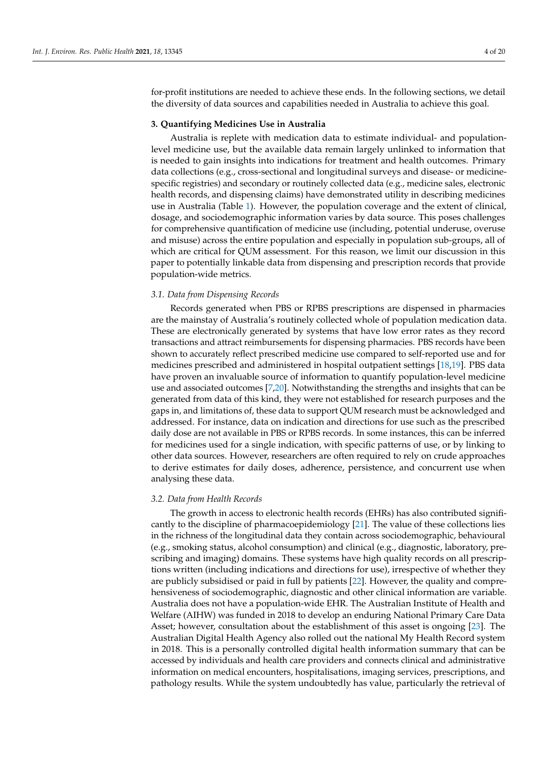for-profit institutions are needed to achieve these ends. In the following sections, we detail the diversity of data sources and capabilities needed in Australia to achieve this goal.

# **3. Quantifying Medicines Use in Australia**

Australia is replete with medication data to estimate individual- and populationlevel medicine use, but the available data remain largely unlinked to information that is needed to gain insights into indications for treatment and health outcomes. Primary data collections (e.g., cross-sectional and longitudinal surveys and disease- or medicinespecific registries) and secondary or routinely collected data (e.g., medicine sales, electronic health records, and dispensing claims) have demonstrated utility in describing medicines use in Australia (Table [1\)](#page-5-0). However, the population coverage and the extent of clinical, dosage, and sociodemographic information varies by data source. This poses challenges for comprehensive quantification of medicine use (including, potential underuse, overuse and misuse) across the entire population and especially in population sub-groups, all of which are critical for QUM assessment. For this reason, we limit our discussion in this paper to potentially linkable data from dispensing and prescription records that provide population-wide metrics.

# *3.1. Data from Dispensing Records*

Records generated when PBS or RPBS prescriptions are dispensed in pharmacies are the mainstay of Australia's routinely collected whole of population medication data. These are electronically generated by systems that have low error rates as they record transactions and attract reimbursements for dispensing pharmacies. PBS records have been shown to accurately reflect prescribed medicine use compared to self-reported use and for medicines prescribed and administered in hospital outpatient settings [\[18](#page-17-9)[,19\]](#page-17-10). PBS data have proven an invaluable source of information to quantify population-level medicine use and associated outcomes [\[7](#page-16-6)[,20\]](#page-17-11). Notwithstanding the strengths and insights that can be generated from data of this kind, they were not established for research purposes and the gaps in, and limitations of, these data to support QUM research must be acknowledged and addressed. For instance, data on indication and directions for use such as the prescribed daily dose are not available in PBS or RPBS records. In some instances, this can be inferred for medicines used for a single indication, with specific patterns of use, or by linking to other data sources. However, researchers are often required to rely on crude approaches to derive estimates for daily doses, adherence, persistence, and concurrent use when analysing these data.

#### *3.2. Data from Health Records*

The growth in access to electronic health records (EHRs) has also contributed significantly to the discipline of pharmacoepidemiology [\[21\]](#page-17-12). The value of these collections lies in the richness of the longitudinal data they contain across sociodemographic, behavioural (e.g., smoking status, alcohol consumption) and clinical (e.g., diagnostic, laboratory, prescribing and imaging) domains. These systems have high quality records on all prescriptions written (including indications and directions for use), irrespective of whether they are publicly subsidised or paid in full by patients [\[22\]](#page-17-13). However, the quality and comprehensiveness of sociodemographic, diagnostic and other clinical information are variable. Australia does not have a population-wide EHR. The Australian Institute of Health and Welfare (AIHW) was funded in 2018 to develop an enduring National Primary Care Data Asset; however, consultation about the establishment of this asset is ongoing [\[23\]](#page-17-14). The Australian Digital Health Agency also rolled out the national My Health Record system in 2018. This is a personally controlled digital health information summary that can be accessed by individuals and health care providers and connects clinical and administrative information on medical encounters, hospitalisations, imaging services, prescriptions, and pathology results. While the system undoubtedly has value, particularly the retrieval of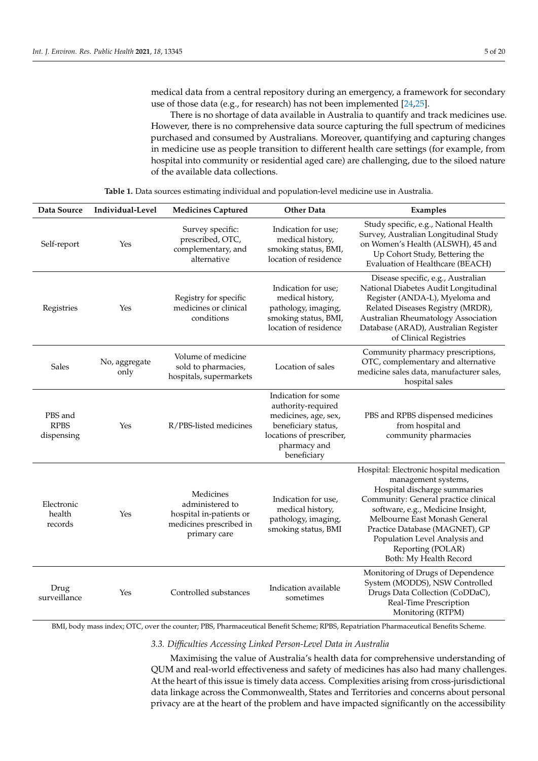medical data from a central repository during an emergency, a framework for secondary use of those data (e.g., for research) has not been implemented [\[24,](#page-17-15)[25\]](#page-17-16).

There is no shortage of data available in Australia to quantify and track medicines use. However, there is no comprehensive data source capturing the full spectrum of medicines purchased and consumed by Australians. Moreover, quantifying and capturing changes in medicine use as people transition to different health care settings (for example, from hospital into community or residential aged care) are challenging, due to the siloed nature of the available data collections.

<span id="page-5-0"></span>

| Data Source                          | Individual-Level      | <b>Medicines Captured</b>                                                                          | <b>Other Data</b>                                                                                                                                   | Examples                                                                                                                                                                                                                                                                                                                        |
|--------------------------------------|-----------------------|----------------------------------------------------------------------------------------------------|-----------------------------------------------------------------------------------------------------------------------------------------------------|---------------------------------------------------------------------------------------------------------------------------------------------------------------------------------------------------------------------------------------------------------------------------------------------------------------------------------|
| Self-report                          | Yes                   | Survey specific:<br>prescribed, OTC,<br>complementary, and<br>alternative                          | Indication for use;<br>medical history,<br>smoking status, BMI,<br>location of residence                                                            | Study specific, e.g., National Health<br>Survey, Australian Longitudinal Study<br>on Women's Health (ALSWH), 45 and<br>Up Cohort Study, Bettering the<br>Evaluation of Healthcare (BEACH)                                                                                                                                       |
| Registries                           | Yes                   | Registry for specific<br>medicines or clinical<br>conditions                                       | Indication for use;<br>medical history,<br>pathology, imaging,<br>smoking status, BMI,<br>location of residence                                     | Disease specific, e.g., Australian<br>National Diabetes Audit Longitudinal<br>Register (ANDA-L), Myeloma and<br>Related Diseases Registry (MRDR),<br>Australian Rheumatology Association<br>Database (ARAD), Australian Register<br>of Clinical Registries                                                                      |
| <b>Sales</b>                         | No, aggregate<br>only | Volume of medicine<br>sold to pharmacies,<br>hospitals, supermarkets                               | Location of sales                                                                                                                                   | Community pharmacy prescriptions,<br>OTC, complementary and alternative<br>medicine sales data, manufacturer sales,<br>hospital sales                                                                                                                                                                                           |
| PBS and<br><b>RPBS</b><br>dispensing | Yes                   | R/PBS-listed medicines                                                                             | Indication for some<br>authority-required<br>medicines, age, sex,<br>beneficiary status,<br>locations of prescriber,<br>pharmacy and<br>beneficiary | PBS and RPBS dispensed medicines<br>from hospital and<br>community pharmacies                                                                                                                                                                                                                                                   |
| Electronic<br>health<br>records      | Yes                   | Medicines<br>administered to<br>hospital in-patients or<br>medicines prescribed in<br>primary care | Indication for use,<br>medical history,<br>pathology, imaging,<br>smoking status, BMI                                                               | Hospital: Electronic hospital medication<br>management systems,<br>Hospital discharge summaries<br>Community: General practice clinical<br>software, e.g., Medicine Insight,<br>Melbourne East Monash General<br>Practice Database (MAGNET), GP<br>Population Level Analysis and<br>Reporting (POLAR)<br>Both: My Health Record |
| Drug<br>surveillance                 | Yes                   | Controlled substances                                                                              | Indication available<br>sometimes                                                                                                                   | Monitoring of Drugs of Dependence<br>System (MODDS), NSW Controlled<br>Drugs Data Collection (CoDDaC),<br>Real-Time Prescription<br>Monitoring (RTPM)                                                                                                                                                                           |

**Table 1.** Data sources estimating individual and population-level medicine use in Australia.

BMI, body mass index; OTC, over the counter; PBS, Pharmaceutical Benefit Scheme; RPBS, Repatriation Pharmaceutical Benefits Scheme.

*3.3. Difficulties Accessing Linked Person-Level Data in Australia*

Maximising the value of Australia's health data for comprehensive understanding of QUM and real-world effectiveness and safety of medicines has also had many challenges. At the heart of this issue is timely data access. Complexities arising from cross-jurisdictional data linkage across the Commonwealth, States and Territories and concerns about personal privacy are at the heart of the problem and have impacted significantly on the accessibility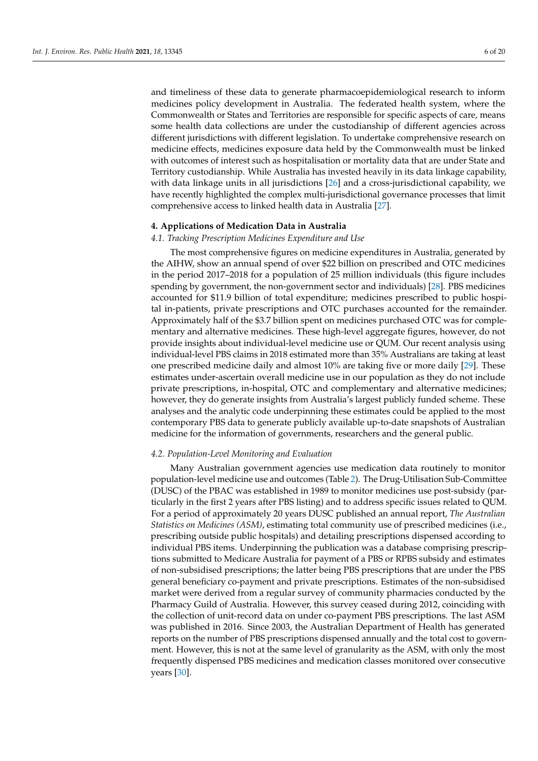and timeliness of these data to generate pharmacoepidemiological research to inform medicines policy development in Australia. The federated health system, where the Commonwealth or States and Territories are responsible for specific aspects of care, means some health data collections are under the custodianship of different agencies across different jurisdictions with different legislation. To undertake comprehensive research on medicine effects, medicines exposure data held by the Commonwealth must be linked with outcomes of interest such as hospitalisation or mortality data that are under State and Territory custodianship. While Australia has invested heavily in its data linkage capability, with data linkage units in all jurisdictions [\[26\]](#page-17-17) and a cross-jurisdictional capability, we have recently highlighted the complex multi-jurisdictional governance processes that limit comprehensive access to linked health data in Australia [\[27\]](#page-17-18).

#### **4. Applications of Medication Data in Australia**

#### *4.1. Tracking Prescription Medicines Expenditure and Use*

The most comprehensive figures on medicine expenditures in Australia, generated by the AIHW, show an annual spend of over \$22 billion on prescribed and OTC medicines in the period 2017–2018 for a population of 25 million individuals (this figure includes spending by government, the non-government sector and individuals) [\[28\]](#page-17-19). PBS medicines accounted for \$11.9 billion of total expenditure; medicines prescribed to public hospital in-patients, private prescriptions and OTC purchases accounted for the remainder. Approximately half of the \$3.7 billion spent on medicines purchased OTC was for complementary and alternative medicines. These high-level aggregate figures, however, do not provide insights about individual-level medicine use or QUM. Our recent analysis using individual-level PBS claims in 2018 estimated more than 35% Australians are taking at least one prescribed medicine daily and almost 10% are taking five or more daily [\[29\]](#page-17-20). These estimates under-ascertain overall medicine use in our population as they do not include private prescriptions, in-hospital, OTC and complementary and alternative medicines; however, they do generate insights from Australia's largest publicly funded scheme. These analyses and the analytic code underpinning these estimates could be applied to the most contemporary PBS data to generate publicly available up-to-date snapshots of Australian medicine for the information of governments, researchers and the general public.

# *4.2. Population-Level Monitoring and Evaluation*

Many Australian government agencies use medication data routinely to monitor population-level medicine use and outcomes (Table [2\)](#page-7-0). The Drug-Utilisation Sub-Committee (DUSC) of the PBAC was established in 1989 to monitor medicines use post-subsidy (particularly in the first 2 years after PBS listing) and to address specific issues related to QUM. For a period of approximately 20 years DUSC published an annual report, *The Australian Statistics on Medicines (ASM)*, estimating total community use of prescribed medicines (i.e., prescribing outside public hospitals) and detailing prescriptions dispensed according to individual PBS items. Underpinning the publication was a database comprising prescriptions submitted to Medicare Australia for payment of a PBS or RPBS subsidy and estimates of non-subsidised prescriptions; the latter being PBS prescriptions that are under the PBS general beneficiary co-payment and private prescriptions. Estimates of the non-subsidised market were derived from a regular survey of community pharmacies conducted by the Pharmacy Guild of Australia. However, this survey ceased during 2012, coinciding with the collection of unit-record data on under co-payment PBS prescriptions. The last ASM was published in 2016. Since 2003, the Australian Department of Health has generated reports on the number of PBS prescriptions dispensed annually and the total cost to government. However, this is not at the same level of granularity as the ASM, with only the most frequently dispensed PBS medicines and medication classes monitored over consecutive years [\[30\]](#page-17-21).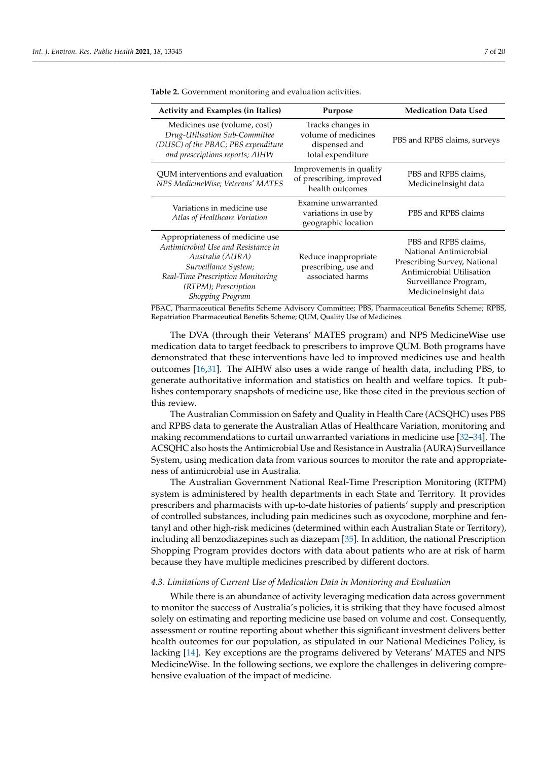| <b>Activity and Examples (in Italics)</b>                                                                                                                                                                  | Purpose                                                                        | <b>Medication Data Used</b>                                                                                                                                  |
|------------------------------------------------------------------------------------------------------------------------------------------------------------------------------------------------------------|--------------------------------------------------------------------------------|--------------------------------------------------------------------------------------------------------------------------------------------------------------|
| Medicines use (volume, cost)<br>Drug-Utilisation Sub-Committee<br>(DUSC) of the PBAC; PBS expenditure<br>and prescriptions reports; AIHW                                                                   | Tracks changes in<br>volume of medicines<br>dispensed and<br>total expenditure | PBS and RPBS claims, surveys                                                                                                                                 |
| QUM interventions and evaluation<br>NPS Medicine Wise; Veterans' MATES                                                                                                                                     | Improvements in quality<br>of prescribing, improved<br>health outcomes         | PBS and RPBS claims,<br>MedicineInsight data                                                                                                                 |
| Variations in medicine use<br>Atlas of Healthcare Variation                                                                                                                                                | Examine unwarranted<br>variations in use by<br>geographic location             | PBS and RPBS claims                                                                                                                                          |
| Appropriateness of medicine use<br>Antimicrobial Use and Resistance in<br>Australia (AURA)<br>Surveillance System;<br>Real-Time Prescription Monitoring<br>(RTPM); Prescription<br><b>Shopping Program</b> | Reduce inappropriate<br>prescribing, use and<br>associated harms               | PBS and RPBS claims,<br>National Antimicrobial<br>Prescribing Survey, National<br>Antimicrobial Utilisation<br>Surveillance Program,<br>MedicineInsight data |

<span id="page-7-0"></span>**Table 2.** Government monitoring and evaluation activities.

PBAC, Pharmaceutical Benefits Scheme Advisory Committee; PBS, Pharmaceutical Benefits Scheme; RPBS, Repatriation Pharmaceutical Benefits Scheme; QUM, Quality Use of Medicines.

The DVA (through their Veterans' MATES program) and NPS MedicineWise use medication data to target feedback to prescribers to improve QUM. Both programs have demonstrated that these interventions have led to improved medicines use and health outcomes [\[16,](#page-17-7)[31\]](#page-17-22). The AIHW also uses a wide range of health data, including PBS, to generate authoritative information and statistics on health and welfare topics. It publishes contemporary snapshots of medicine use, like those cited in the previous section of this review.

The Australian Commission on Safety and Quality in Health Care (ACSQHC) uses PBS and RPBS data to generate the Australian Atlas of Healthcare Variation, monitoring and making recommendations to curtail unwarranted variations in medicine use [\[32–](#page-17-23)[34\]](#page-17-24). The ACSQHC also hosts the Antimicrobial Use and Resistance in Australia (AURA) Surveillance System, using medication data from various sources to monitor the rate and appropriateness of antimicrobial use in Australia.

The Australian Government National Real-Time Prescription Monitoring (RTPM) system is administered by health departments in each State and Territory. It provides prescribers and pharmacists with up-to-date histories of patients' supply and prescription of controlled substances, including pain medicines such as oxycodone, morphine and fentanyl and other high-risk medicines (determined within each Australian State or Territory), including all benzodiazepines such as diazepam [\[35\]](#page-17-25). In addition, the national Prescription Shopping Program provides doctors with data about patients who are at risk of harm because they have multiple medicines prescribed by different doctors.

### *4.3. Limitations of Current Use of Medication Data in Monitoring and Evaluation*

While there is an abundance of activity leveraging medication data across government to monitor the success of Australia's policies, it is striking that they have focused almost solely on estimating and reporting medicine use based on volume and cost. Consequently, assessment or routine reporting about whether this significant investment delivers better health outcomes for our population, as stipulated in our National Medicines Policy, is lacking [\[14\]](#page-17-5). Key exceptions are the programs delivered by Veterans' MATES and NPS MedicineWise. In the following sections, we explore the challenges in delivering comprehensive evaluation of the impact of medicine.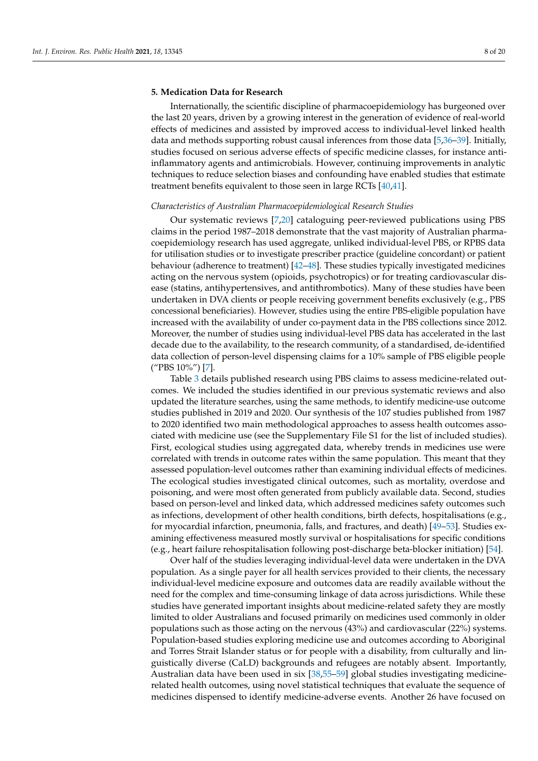# **5. Medication Data for Research**

Internationally, the scientific discipline of pharmacoepidemiology has burgeoned over the last 20 years, driven by a growing interest in the generation of evidence of real-world effects of medicines and assisted by improved access to individual-level linked health data and methods supporting robust causal inferences from those data [\[5](#page-16-4)[,36–](#page-17-26)[39\]](#page-18-0). Initially, studies focused on serious adverse effects of specific medicine classes, for instance antiinflammatory agents and antimicrobials. However, continuing improvements in analytic techniques to reduce selection biases and confounding have enabled studies that estimate treatment benefits equivalent to those seen in large RCTs [\[40,](#page-18-1)[41\]](#page-18-2).

#### *Characteristics of Australian Pharmacoepidemiological Research Studies*

Our systematic reviews [\[7,](#page-16-6)[20\]](#page-17-11) cataloguing peer-reviewed publications using PBS claims in the period 1987–2018 demonstrate that the vast majority of Australian pharmacoepidemiology research has used aggregate, unliked individual-level PBS, or RPBS data for utilisation studies or to investigate prescriber practice (guideline concordant) or patient behaviour (adherence to treatment) [\[42](#page-18-3)[–48\]](#page-18-4). These studies typically investigated medicines acting on the nervous system (opioids, psychotropics) or for treating cardiovascular disease (statins, antihypertensives, and antithrombotics). Many of these studies have been undertaken in DVA clients or people receiving government benefits exclusively (e.g., PBS concessional beneficiaries). However, studies using the entire PBS-eligible population have increased with the availability of under co-payment data in the PBS collections since 2012. Moreover, the number of studies using individual-level PBS data has accelerated in the last decade due to the availability, to the research community, of a standardised, de-identified data collection of person-level dispensing claims for a 10% sample of PBS eligible people ("PBS 10%") [\[7\]](#page-16-6).

Table [3](#page-9-0) details published research using PBS claims to assess medicine-related outcomes. We included the studies identified in our previous systematic reviews and also updated the literature searches, using the same methods, to identify medicine-use outcome studies published in 2019 and 2020. Our synthesis of the 107 studies published from 1987 to 2020 identified two main methodological approaches to assess health outcomes associated with medicine use (see the Supplementary File S1 for the list of included studies). First, ecological studies using aggregated data, whereby trends in medicines use were correlated with trends in outcome rates within the same population. This meant that they assessed population-level outcomes rather than examining individual effects of medicines. The ecological studies investigated clinical outcomes, such as mortality, overdose and poisoning, and were most often generated from publicly available data. Second, studies based on person-level and linked data, which addressed medicines safety outcomes such as infections, development of other health conditions, birth defects, hospitalisations (e.g., for myocardial infarction, pneumonia, falls, and fractures, and death) [\[49–](#page-18-5)[53\]](#page-18-6). Studies examining effectiveness measured mostly survival or hospitalisations for specific conditions (e.g., heart failure rehospitalisation following post-discharge beta-blocker initiation) [\[54\]](#page-18-7).

Over half of the studies leveraging individual-level data were undertaken in the DVA population. As a single payer for all health services provided to their clients, the necessary individual-level medicine exposure and outcomes data are readily available without the need for the complex and time-consuming linkage of data across jurisdictions. While these studies have generated important insights about medicine-related safety they are mostly limited to older Australians and focused primarily on medicines used commonly in older populations such as those acting on the nervous (43%) and cardiovascular (22%) systems. Population-based studies exploring medicine use and outcomes according to Aboriginal and Torres Strait Islander status or for people with a disability, from culturally and linguistically diverse (CaLD) backgrounds and refugees are notably absent. Importantly, Australian data have been used in six [\[38,](#page-18-8)[55](#page-18-9)[–59\]](#page-19-0) global studies investigating medicinerelated health outcomes, using novel statistical techniques that evaluate the sequence of medicines dispensed to identify medicine-adverse events. Another 26 have focused on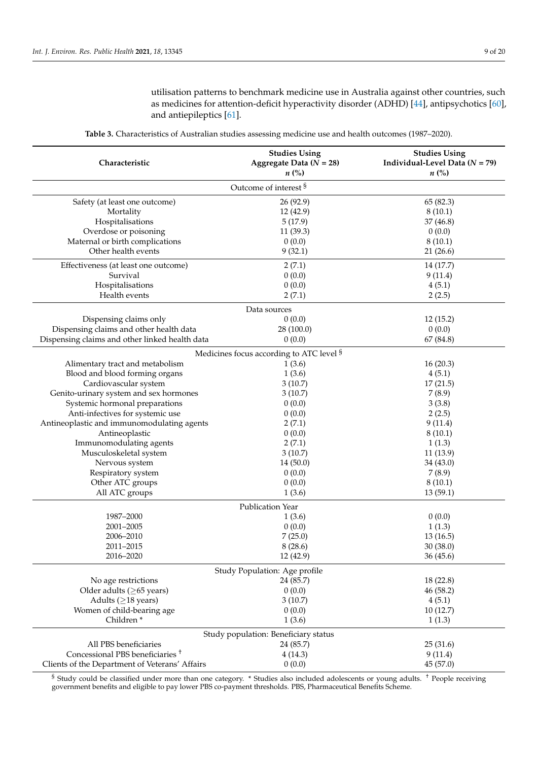utilisation patterns to benchmark medicine use in Australia against other countries, such as medicines for attention-deficit hyperactivity disorder (ADHD) [\[44\]](#page-18-10), antipsychotics [\[60\]](#page-19-1), and antiepileptics [\[61\]](#page-19-2).

<span id="page-9-0"></span>

| Characteristic                                 | <b>Studies Using</b><br>Aggregate Data $(N = 28)$<br>$n\left(\%\right)$ | <b>Studies Using</b><br>Individual-Level Data $(N = 79)$<br>$n\left(\%\right)$ |  |  |  |  |  |
|------------------------------------------------|-------------------------------------------------------------------------|--------------------------------------------------------------------------------|--|--|--|--|--|
| Outcome of interest §                          |                                                                         |                                                                                |  |  |  |  |  |
| Safety (at least one outcome)                  | 26 (92.9)                                                               | 65 (82.3)                                                                      |  |  |  |  |  |
| Mortality                                      | 12 (42.9)                                                               | 8(10.1)                                                                        |  |  |  |  |  |
| Hospitalisations                               | 5(17.9)                                                                 | 37 (46.8)                                                                      |  |  |  |  |  |
| Overdose or poisoning                          | 11(39.3)                                                                | 0(0.0)                                                                         |  |  |  |  |  |
| Maternal or birth complications                | 0(0.0)                                                                  | 8(10.1)                                                                        |  |  |  |  |  |
| Other health events                            | 9(32.1)                                                                 | 21(26.6)                                                                       |  |  |  |  |  |
| Effectiveness (at least one outcome)           | 2(7.1)                                                                  | 14 (17.7)                                                                      |  |  |  |  |  |
| Survival                                       | 0(0.0)                                                                  | 9(11.4)                                                                        |  |  |  |  |  |
| Hospitalisations                               | 0(0.0)                                                                  | 4(5.1)                                                                         |  |  |  |  |  |
| Health events                                  | 2(7.1)                                                                  | 2(2.5)                                                                         |  |  |  |  |  |
| Data sources                                   |                                                                         |                                                                                |  |  |  |  |  |
| Dispensing claims only                         | 0(0.0)                                                                  | 12(15.2)                                                                       |  |  |  |  |  |
| Dispensing claims and other health data        | 28 (100.0)                                                              | 0(0.0)                                                                         |  |  |  |  |  |
| Dispensing claims and other linked health data | 0(0.0)                                                                  | 67 (84.8)                                                                      |  |  |  |  |  |
|                                                | Medicines focus according to ATC level <sup>§</sup>                     |                                                                                |  |  |  |  |  |
| Alimentary tract and metabolism                | 1(3.6)                                                                  | 16(20.3)                                                                       |  |  |  |  |  |
| Blood and blood forming organs                 | 1(3.6)                                                                  | 4(5.1)                                                                         |  |  |  |  |  |
| Cardiovascular system                          | 3(10.7)                                                                 | 17(21.5)                                                                       |  |  |  |  |  |
| Genito-urinary system and sex hormones         | 3(10.7)                                                                 | 7(8.9)                                                                         |  |  |  |  |  |
| Systemic hormonal preparations                 | 0(0.0)                                                                  | 3(3.8)                                                                         |  |  |  |  |  |
| Anti-infectives for systemic use               | 0(0.0)                                                                  | 2(2.5)                                                                         |  |  |  |  |  |
| Antineoplastic and immunomodulating agents     | 2(7.1)                                                                  | 9(11.4)                                                                        |  |  |  |  |  |
| Antineoplastic                                 | 0(0.0)                                                                  | 8(10.1)                                                                        |  |  |  |  |  |
| Immunomodulating agents                        | 2(7.1)                                                                  | 1(1.3)                                                                         |  |  |  |  |  |
| Musculoskeletal system                         | 3(10.7)                                                                 | 11(13.9)                                                                       |  |  |  |  |  |
| Nervous system                                 | 14 (50.0)                                                               | 34 (43.0)                                                                      |  |  |  |  |  |
| Respiratory system                             | 0(0.0)                                                                  | 7(8.9)                                                                         |  |  |  |  |  |
| Other ATC groups                               | 0(0.0)                                                                  | 8(10.1)                                                                        |  |  |  |  |  |
| All ATC groups                                 | 1(3.6)                                                                  | 13(59.1)                                                                       |  |  |  |  |  |
| Publication Year                               |                                                                         |                                                                                |  |  |  |  |  |
| 1987-2000                                      | 1(3.6)                                                                  | 0(0.0)                                                                         |  |  |  |  |  |
| 2001-2005                                      | 0(0.0)                                                                  | 1(1.3)                                                                         |  |  |  |  |  |
| 2006-2010                                      | 7(25.0)                                                                 | 13(16.5)                                                                       |  |  |  |  |  |
| 2011-2015                                      | 8(28.6)                                                                 | 30 (38.0)                                                                      |  |  |  |  |  |
| 2016-2020                                      | 12 (42.9)                                                               | 36 (45.6)                                                                      |  |  |  |  |  |
| Study Population: Age profile                  |                                                                         |                                                                                |  |  |  |  |  |
| No age restrictions                            | 24 (85.7)                                                               | 18 (22.8)                                                                      |  |  |  |  |  |
| Older adults ( $\geq$ 65 years)                | 0(0.0)                                                                  | 46 (58.2)                                                                      |  |  |  |  |  |
| Adults ( $\geq$ 18 years)                      | 3(10.7)                                                                 | 4(5.1)                                                                         |  |  |  |  |  |
| Women of child-bearing age                     | 0(0.0)                                                                  | 10(12.7)                                                                       |  |  |  |  |  |
| Children <sup>*</sup>                          | 1(3.6)                                                                  | 1(1.3)                                                                         |  |  |  |  |  |
| Study population: Beneficiary status           |                                                                         |                                                                                |  |  |  |  |  |
| All PBS beneficiaries                          | 24 (85.7)                                                               | 25(31.6)                                                                       |  |  |  |  |  |
| Concessional PBS beneficiaries <sup>+</sup>    | 4(14.3)                                                                 | 9(11.4)                                                                        |  |  |  |  |  |
| Clients of the Department of Veterans' Affairs | 0(0.0)                                                                  | 45 (57.0)                                                                      |  |  |  |  |  |

**Table 3.** Characteristics of Australian studies assessing medicine use and health outcomes (1987–2020).

§ Study could be classified under more than one category. \* Studies also included adolescents or young adults. † People receiving government benefits and eligible to pay lower PBS co-payment thresholds. PBS, Pharmaceutical Benefits Scheme.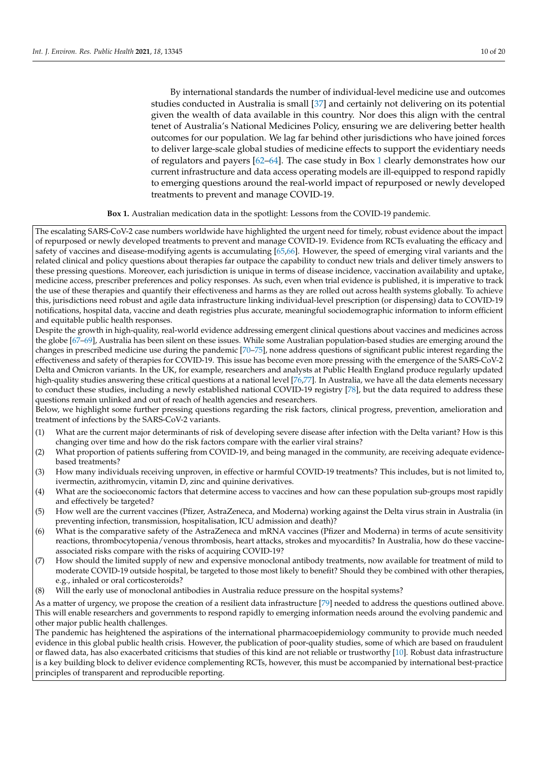By international standards the number of individual-level medicine use and outcomes studies conducted in Australia is small [\[37\]](#page-18-11) and certainly not delivering on its potential given the wealth of data available in this country. Nor does this align with the central tenet of Australia's National Medicines Policy, ensuring we are delivering better health outcomes for our population. We lag far behind other jurisdictions who have joined forces to deliver large-scale global studies of medicine effects to support the evidentiary needs of regulators and payers [\[62–](#page-19-3)[64\]](#page-19-4). The case study in Box [1](#page-10-0) clearly demonstrates how our current infrastructure and data access operating models are ill-equipped to respond rapidly to emerging questions around the real-world impact of repurposed or newly developed treatments to prevent and manage COVID-19.

**Box 1.** Australian medication data in the spotlight: Lessons from the COVID-19 pandemic.

<span id="page-10-0"></span>The escalating SARS-CoV-2 case numbers worldwide have highlighted the urgent need for timely, robust evidence about the impact of repurposed or newly developed treatments to prevent and manage COVID-19. Evidence from RCTs evaluating the efficacy and safety of vaccines and disease-modifying agents is accumulating [\[65,](#page-19-5)[66\]](#page-19-6). However, the speed of emerging viral variants and the related clinical and policy questions about therapies far outpace the capability to conduct new trials and deliver timely answers to these pressing questions. Moreover, each jurisdiction is unique in terms of disease incidence, vaccination availability and uptake, medicine access, prescriber preferences and policy responses. As such, even when trial evidence is published, it is imperative to track the use of these therapies and quantify their effectiveness and harms as they are rolled out across health systems globally. To achieve this, jurisdictions need robust and agile data infrastructure linking individual-level prescription (or dispensing) data to COVID-19 notifications, hospital data, vaccine and death registries plus accurate, meaningful sociodemographic information to inform efficient and equitable public health responses.

Despite the growth in high-quality, real-world evidence addressing emergent clinical questions about vaccines and medicines across the globe [\[67](#page-19-7)[–69\]](#page-19-8), Australia has been silent on these issues. While some Australian population-based studies are emerging around the changes in prescribed medicine use during the pandemic [\[70](#page-19-9)[–75\]](#page-19-10), none address questions of significant public interest regarding the effectiveness and safety of therapies for COVID-19. This issue has become even more pressing with the emergence of the SARS-CoV-2 Delta and Omicron variants. In the UK, for example, researchers and analysts at Public Health England produce regularly updated high-quality studies answering these critical questions at a national level [\[76,](#page-19-11)[77\]](#page-19-12). In Australia, we have all the data elements necessary to conduct these studies, including a newly established national COVID-19 registry [\[78\]](#page-19-13), but the data required to address these questions remain unlinked and out of reach of health agencies and researchers.

Below, we highlight some further pressing questions regarding the risk factors, clinical progress, prevention, amelioration and treatment of infections by the SARS-CoV-2 variants.

- (1) What are the current major determinants of risk of developing severe disease after infection with the Delta variant? How is this changing over time and how do the risk factors compare with the earlier viral strains?
- (2) What proportion of patients suffering from COVID-19, and being managed in the community, are receiving adequate evidencebased treatments?
- (3) How many individuals receiving unproven, in effective or harmful COVID-19 treatments? This includes, but is not limited to, ivermectin, azithromycin, vitamin D, zinc and quinine derivatives.
- (4) What are the socioeconomic factors that determine access to vaccines and how can these population sub-groups most rapidly and effectively be targeted?
- (5) How well are the current vaccines (Pfizer, AstraZeneca, and Moderna) working against the Delta virus strain in Australia (in preventing infection, transmission, hospitalisation, ICU admission and death)?
- (6) What is the comparative safety of the AstraZeneca and mRNA vaccines (Pfizer and Moderna) in terms of acute sensitivity reactions, thrombocytopenia/venous thrombosis, heart attacks, strokes and myocarditis? In Australia, how do these vaccineassociated risks compare with the risks of acquiring COVID-19?
- (7) How should the limited supply of new and expensive monoclonal antibody treatments, now available for treatment of mild to moderate COVID-19 outside hospital, be targeted to those most likely to benefit? Should they be combined with other therapies, e.g., inhaled or oral corticosteroids?
- (8) Will the early use of monoclonal antibodies in Australia reduce pressure on the hospital systems?

As a matter of urgency, we propose the creation of a resilient data infrastructure [\[79\]](#page-19-14) needed to address the questions outlined above. This will enable researchers and governments to respond rapidly to emerging information needs around the evolving pandemic and other major public health challenges.

The pandemic has heightened the aspirations of the international pharmacoepidemiology community to provide much needed evidence in this global public health crisis. However, the publication of poor-quality studies, some of which are based on fraudulent or flawed data, has also exacerbated criticisms that studies of this kind are not reliable or trustworthy [\[10\]](#page-17-1). Robust data infrastructure is a key building block to deliver evidence complementing RCTs, however, this must be accompanied by international best-practice principles of transparent and reproducible reporting.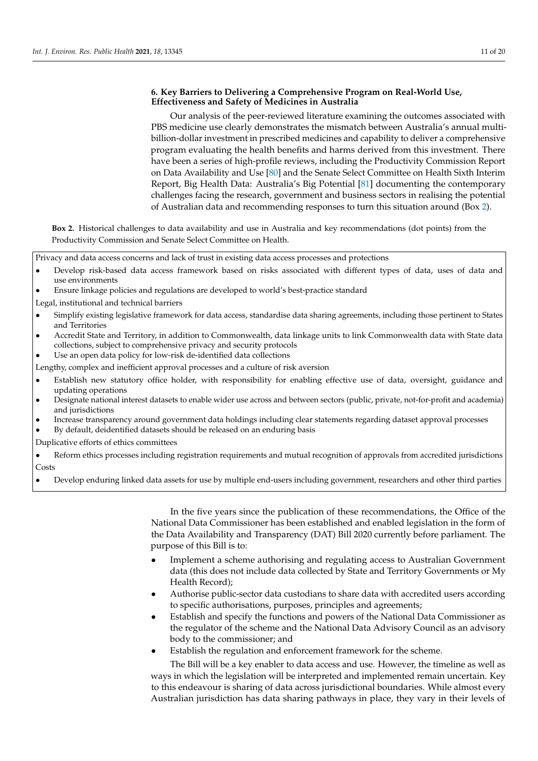# **6. Key Barriers to Delivering a Comprehensive Program on Real-World Use, Effectiveness and Safety of Medicines in Australia**

Our analysis of the peer-reviewed literature examining the outcomes associated with PBS medicine use clearly demonstrates the mismatch between Australia's annual multibillion-dollar investment in prescribed medicines and capability to deliver a comprehensive program evaluating the health benefits and harms derived from this investment. There have been a series of high-profile reviews, including the Productivity Commission Report on Data Availability and Use [\[80\]](#page-19-15) and the Senate Select Committee on Health Sixth Interim Report, Big Health Data: Australia's Big Potential [\[81\]](#page-19-16) documenting the contemporary challenges facing the research, government and business sectors in realising the potential of Australian data and recommending responses to turn this situation around (Box [2\)](#page-11-0).

**Box 2.** Historical challenges to data availability and use in Australia and key recommendations (dot points) from the Productivity Commission and Senate Select Committee on Health.

Privacy and data access concerns and lack of trust in existing data access processes and protections

- Develop risk-based data access framework based on risks associated with different types of data, uses of data and use environments
- Ensure linkage policies and regulations are developed to world's best-practice standard

Legal, institutional and technical barriers

- Simplify existing legislative framework for data access, standardise data sharing agreements, including those pertinent to States and Territories
- Accredit State and Territory, in addition to Commonwealth, data linkage units to link Commonwealth data with State data collections, subject to comprehensive privacy and security protocols
- Use an open data policy for low-risk de-identified data collections

Lengthy, complex and inefficient approval processes and a culture of risk aversion

- Establish new statutory office holder, with responsibility for enabling effective use of data, oversight, guidance and updating operations
- Designate national interest datasets to enable wider use across and between sectors (public, private, not-for-profit and academia) and jurisdictions
- Increase transparency around government data holdings including clear statements regarding dataset approval processes

• By default, deidentified datasets should be released on an enduring basis

Duplicative efforts of ethics committees

In the five years since the publication of these recommendations, the Office of the National Data Commissioner has been established and enabled legislation in the form of the Data Availability and Transparency (DAT) Bill 2020 currently before parliament. The purpose of this Bill is to:

- Implement a scheme authorising and regulating access to Australian Government data (this does not include data collected by State and Territory Governments or My Health Record);
- Authorise public-sector data custodians to share data with accredited users according to specific authorisations, purposes, principles and agreements;
- Establish and specify the functions and powers of the National Data Commissioner as the regulator of the scheme and the National Data Advisory Council as an advisory body to the commissioner; and
- Establish the regulation and enforcement framework for the scheme.

The Bill will be a key enabler to data access and use. However, the timeline as well as ways in which the legislation will be interpreted and implemented remain uncertain. Key to this endeavour is sharing of data across jurisdictional boundaries. While almost every Australian jurisdiction has data sharing pathways in place, they vary in their levels of

<sup>•</sup> Reform ethics processes including registration requirements and mutual recognition of approvals from accredited jurisdictions Costs

<span id="page-11-0"></span><sup>•</sup> Develop enduring linked data assets for use by multiple end-users including government, researchers and other third parties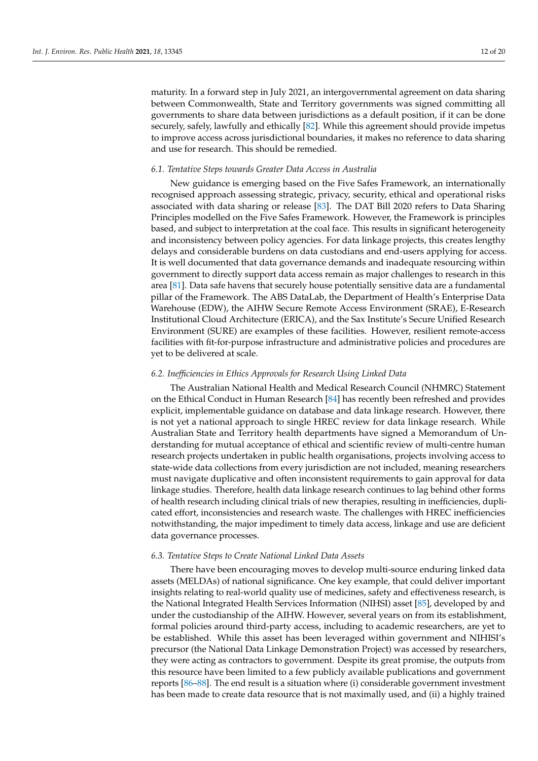maturity. In a forward step in July 2021, an intergovernmental agreement on data sharing between Commonwealth, State and Territory governments was signed committing all governments to share data between jurisdictions as a default position, if it can be done securely, safely, lawfully and ethically [\[82\]](#page-19-17). While this agreement should provide impetus to improve access across jurisdictional boundaries, it makes no reference to data sharing and use for research. This should be remedied.

#### *6.1. Tentative Steps towards Greater Data Access in Australia*

New guidance is emerging based on the Five Safes Framework, an internationally recognised approach assessing strategic, privacy, security, ethical and operational risks associated with data sharing or release [\[83\]](#page-19-18). The DAT Bill 2020 refers to Data Sharing Principles modelled on the Five Safes Framework. However, the Framework is principles based, and subject to interpretation at the coal face. This results in significant heterogeneity and inconsistency between policy agencies. For data linkage projects, this creates lengthy delays and considerable burdens on data custodians and end-users applying for access. It is well documented that data governance demands and inadequate resourcing within government to directly support data access remain as major challenges to research in this area [\[81\]](#page-19-16). Data safe havens that securely house potentially sensitive data are a fundamental pillar of the Framework. The ABS DataLab, the Department of Health's Enterprise Data Warehouse (EDW), the AIHW Secure Remote Access Environment (SRAE), E-Research Institutional Cloud Architecture (ERICA), and the Sax Institute's Secure Unified Research Environment (SURE) are examples of these facilities. However, resilient remote-access facilities with fit-for-purpose infrastructure and administrative policies and procedures are yet to be delivered at scale.

#### *6.2. Inefficiencies in Ethics Approvals for Research Using Linked Data*

The Australian National Health and Medical Research Council (NHMRC) Statement on the Ethical Conduct in Human Research [\[84\]](#page-20-0) has recently been refreshed and provides explicit, implementable guidance on database and data linkage research. However, there is not yet a national approach to single HREC review for data linkage research. While Australian State and Territory health departments have signed a Memorandum of Understanding for mutual acceptance of ethical and scientific review of multi-centre human research projects undertaken in public health organisations, projects involving access to state-wide data collections from every jurisdiction are not included, meaning researchers must navigate duplicative and often inconsistent requirements to gain approval for data linkage studies. Therefore, health data linkage research continues to lag behind other forms of health research including clinical trials of new therapies, resulting in inefficiencies, duplicated effort, inconsistencies and research waste. The challenges with HREC inefficiencies notwithstanding, the major impediment to timely data access, linkage and use are deficient data governance processes.

#### *6.3. Tentative Steps to Create National Linked Data Assets*

There have been encouraging moves to develop multi-source enduring linked data assets (MELDAs) of national significance. One key example, that could deliver important insights relating to real-world quality use of medicines, safety and effectiveness research, is the National Integrated Health Services Information (NIHSI) asset [\[85\]](#page-20-1), developed by and under the custodianship of the AIHW. However, several years on from its establishment, formal policies around third-party access, including to academic researchers, are yet to be established. While this asset has been leveraged within government and NIHISI's precursor (the National Data Linkage Demonstration Project) was accessed by researchers, they were acting as contractors to government. Despite its great promise, the outputs from this resource have been limited to a few publicly available publications and government reports [\[86](#page-20-2)[–88\]](#page-20-3). The end result is a situation where (i) considerable government investment has been made to create data resource that is not maximally used, and (ii) a highly trained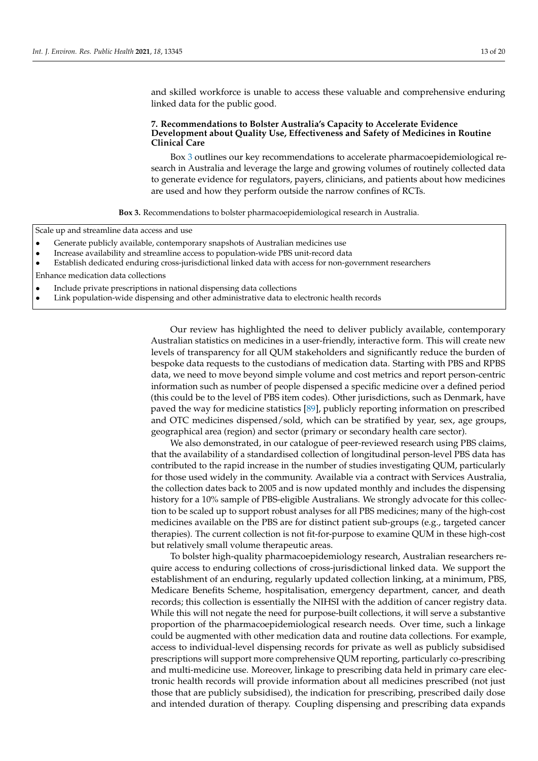and skilled workforce is unable to access these valuable and comprehensive enduring linked data for the public good.

# **7. Recommendations to Bolster Australia's Capacity to Accelerate Evidence Development about Quality Use, Effectiveness and Safety of Medicines in Routine Clinical Care**

Box [3](#page-13-0) outlines our key recommendations to accelerate pharmacoepidemiological research in Australia and leverage the large and growing volumes of routinely collected data to generate evidence for regulators, payers, clinicians, and patients about how medicines are used and how they perform outside the narrow confines of RCTs.

**Box 3.** Recommendations to bolster pharmacoepidemiological research in Australia.

Scale up and streamline data access and use

- Generate publicly available, contemporary snapshots of Australian medicines use
- Increase availability and streamline access to population-wide PBS unit-record data
- Establish dedicated enduring cross-jurisdictional linked data with access for non-government researchers

Enhance medication data collections

- Include private prescriptions in national dispensing data collections
- <span id="page-13-0"></span>• Link population-wide dispensing and other administrative data to electronic health records

Our review has highlighted the need to deliver publicly available, contemporary Australian statistics on medicines in a user-friendly, interactive form. This will create new levels of transparency for all QUM stakeholders and significantly reduce the burden of bespoke data requests to the custodians of medication data. Starting with PBS and RPBS data, we need to move beyond simple volume and cost metrics and report person-centric information such as number of people dispensed a specific medicine over a defined period (this could be to the level of PBS item codes). Other jurisdictions, such as Denmark, have paved the way for medicine statistics [\[89\]](#page-20-4), publicly reporting information on prescribed and OTC medicines dispensed/sold, which can be stratified by year, sex, age groups, geographical area (region) and sector (primary or secondary health care sector).

We also demonstrated, in our catalogue of peer-reviewed research using PBS claims, that the availability of a standardised collection of longitudinal person-level PBS data has contributed to the rapid increase in the number of studies investigating QUM, particularly for those used widely in the community. Available via a contract with Services Australia, the collection dates back to 2005 and is now updated monthly and includes the dispensing history for a 10% sample of PBS-eligible Australians. We strongly advocate for this collection to be scaled up to support robust analyses for all PBS medicines; many of the high-cost medicines available on the PBS are for distinct patient sub-groups (e.g., targeted cancer therapies). The current collection is not fit-for-purpose to examine QUM in these high-cost but relatively small volume therapeutic areas.

To bolster high-quality pharmacoepidemiology research, Australian researchers require access to enduring collections of cross-jurisdictional linked data. We support the establishment of an enduring, regularly updated collection linking, at a minimum, PBS, Medicare Benefits Scheme, hospitalisation, emergency department, cancer, and death records; this collection is essentially the NIHSI with the addition of cancer registry data. While this will not negate the need for purpose-built collections, it will serve a substantive proportion of the pharmacoepidemiological research needs. Over time, such a linkage could be augmented with other medication data and routine data collections. For example, access to individual-level dispensing records for private as well as publicly subsidised prescriptions will support more comprehensive QUM reporting, particularly co-prescribing and multi-medicine use. Moreover, linkage to prescribing data held in primary care electronic health records will provide information about all medicines prescribed (not just those that are publicly subsidised), the indication for prescribing, prescribed daily dose and intended duration of therapy. Coupling dispensing and prescribing data expands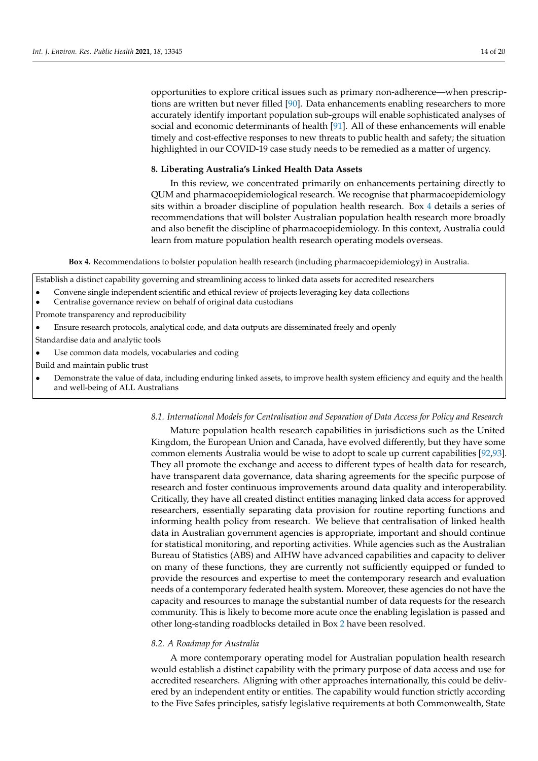opportunities to explore critical issues such as primary non-adherence—when prescriptions are written but never filled [\[90\]](#page-20-5). Data enhancements enabling researchers to more accurately identify important population sub-groups will enable sophisticated analyses of social and economic determinants of health [\[91\]](#page-20-6). All of these enhancements will enable timely and cost-effective responses to new threats to public health and safety; the situation highlighted in our COVID-19 case study needs to be remedied as a matter of urgency.

# **8. Liberating Australia's Linked Health Data Assets**

In this review, we concentrated primarily on enhancements pertaining directly to QUM and pharmacoepidemiological research. We recognise that pharmacoepidemiology sits within a broader discipline of population health research. Box [4](#page-14-0) details a series of recommendations that will bolster Australian population health research more broadly and also benefit the discipline of pharmacoepidemiology. In this context, Australia could learn from mature population health research operating models overseas.

**Box 4.** Recommendations to bolster population health research (including pharmacoepidemiology) in Australia.

- Establish a distinct capability governing and streamlining access to linked data assets for accredited researchers
- Convene single independent scientific and ethical review of projects leveraging key data collections
- Centralise governance review on behalf of original data custodians
- Promote transparency and reproducibility
- Ensure research protocols, analytical code, and data outputs are disseminated freely and openly
- Standardise data and analytic tools
- Use common data models, vocabularies and coding
- Build and maintain public trust
- <span id="page-14-0"></span>• Demonstrate the value of data, including enduring linked assets, to improve health system efficiency and equity and the health and well-being of ALL Australians

# *8.1. International Models for Centralisation and Separation of Data Access for Policy and Research*

Mature population health research capabilities in jurisdictions such as the United Kingdom, the European Union and Canada, have evolved differently, but they have some common elements Australia would be wise to adopt to scale up current capabilities [\[92](#page-20-7)[,93\]](#page-20-8). They all promote the exchange and access to different types of health data for research, have transparent data governance, data sharing agreements for the specific purpose of research and foster continuous improvements around data quality and interoperability. Critically, they have all created distinct entities managing linked data access for approved researchers, essentially separating data provision for routine reporting functions and informing health policy from research. We believe that centralisation of linked health data in Australian government agencies is appropriate, important and should continue for statistical monitoring, and reporting activities. While agencies such as the Australian Bureau of Statistics (ABS) and AIHW have advanced capabilities and capacity to deliver on many of these functions, they are currently not sufficiently equipped or funded to provide the resources and expertise to meet the contemporary research and evaluation needs of a contemporary federated health system. Moreover, these agencies do not have the capacity and resources to manage the substantial number of data requests for the research community. This is likely to become more acute once the enabling legislation is passed and other long-standing roadblocks detailed in Box [2](#page-11-0) have been resolved.

# *8.2. A Roadmap for Australia*

A more contemporary operating model for Australian population health research would establish a distinct capability with the primary purpose of data access and use for accredited researchers. Aligning with other approaches internationally, this could be delivered by an independent entity or entities. The capability would function strictly according to the Five Safes principles, satisfy legislative requirements at both Commonwealth, State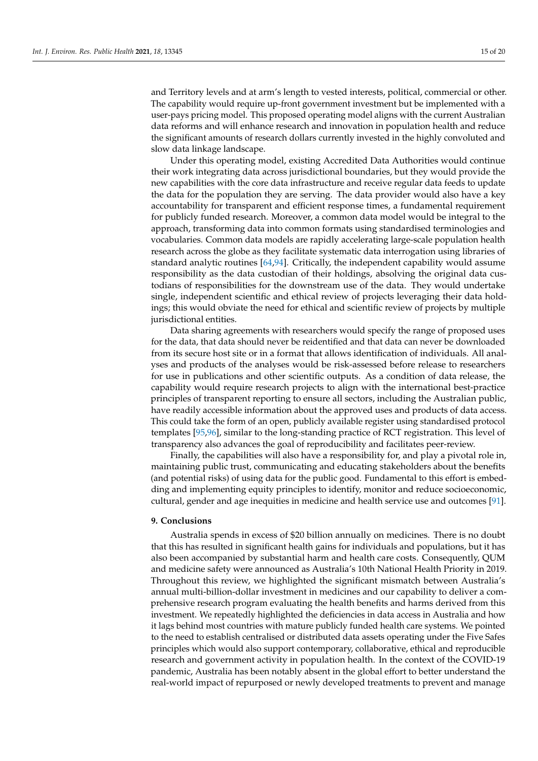and Territory levels and at arm's length to vested interests, political, commercial or other. The capability would require up-front government investment but be implemented with a user-pays pricing model. This proposed operating model aligns with the current Australian data reforms and will enhance research and innovation in population health and reduce the significant amounts of research dollars currently invested in the highly convoluted and slow data linkage landscape.

Under this operating model, existing Accredited Data Authorities would continue their work integrating data across jurisdictional boundaries, but they would provide the new capabilities with the core data infrastructure and receive regular data feeds to update the data for the population they are serving. The data provider would also have a key accountability for transparent and efficient response times, a fundamental requirement for publicly funded research. Moreover, a common data model would be integral to the approach, transforming data into common formats using standardised terminologies and vocabularies. Common data models are rapidly accelerating large-scale population health research across the globe as they facilitate systematic data interrogation using libraries of standard analytic routines [\[64](#page-19-4)[,94\]](#page-20-9). Critically, the independent capability would assume responsibility as the data custodian of their holdings, absolving the original data custodians of responsibilities for the downstream use of the data. They would undertake single, independent scientific and ethical review of projects leveraging their data holdings; this would obviate the need for ethical and scientific review of projects by multiple jurisdictional entities.

Data sharing agreements with researchers would specify the range of proposed uses for the data, that data should never be reidentified and that data can never be downloaded from its secure host site or in a format that allows identification of individuals. All analyses and products of the analyses would be risk-assessed before release to researchers for use in publications and other scientific outputs. As a condition of data release, the capability would require research projects to align with the international best-practice principles of transparent reporting to ensure all sectors, including the Australian public, have readily accessible information about the approved uses and products of data access. This could take the form of an open, publicly available register using standardised protocol templates [\[95](#page-20-10)[,96\]](#page-20-11), similar to the long-standing practice of RCT registration. This level of transparency also advances the goal of reproducibility and facilitates peer-review.

Finally, the capabilities will also have a responsibility for, and play a pivotal role in, maintaining public trust, communicating and educating stakeholders about the benefits (and potential risks) of using data for the public good. Fundamental to this effort is embedding and implementing equity principles to identify, monitor and reduce socioeconomic, cultural, gender and age inequities in medicine and health service use and outcomes [\[91\]](#page-20-6).

#### **9. Conclusions**

Australia spends in excess of \$20 billion annually on medicines. There is no doubt that this has resulted in significant health gains for individuals and populations, but it has also been accompanied by substantial harm and health care costs. Consequently, QUM and medicine safety were announced as Australia's 10th National Health Priority in 2019. Throughout this review, we highlighted the significant mismatch between Australia's annual multi-billion-dollar investment in medicines and our capability to deliver a comprehensive research program evaluating the health benefits and harms derived from this investment. We repeatedly highlighted the deficiencies in data access in Australia and how it lags behind most countries with mature publicly funded health care systems. We pointed to the need to establish centralised or distributed data assets operating under the Five Safes principles which would also support contemporary, collaborative, ethical and reproducible research and government activity in population health. In the context of the COVID-19 pandemic, Australia has been notably absent in the global effort to better understand the real-world impact of repurposed or newly developed treatments to prevent and manage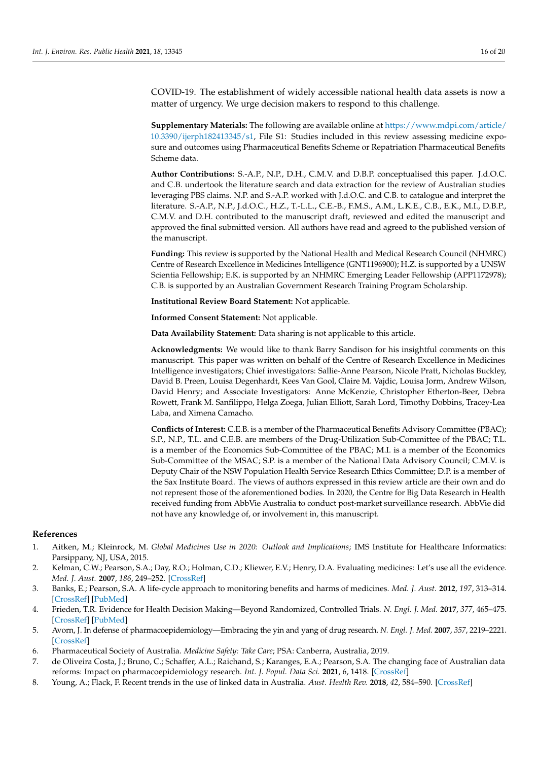COVID-19. The establishment of widely accessible national health data assets is now a matter of urgency. We urge decision makers to respond to this challenge.

**Supplementary Materials:** The following are available online at [https://www.mdpi.com/article/](https://www.mdpi.com/article/10.3390/ijerph182413345/s1) [10.3390/ijerph182413345/s1,](https://www.mdpi.com/article/10.3390/ijerph182413345/s1) File S1: Studies included in this review assessing medicine exposure and outcomes using Pharmaceutical Benefits Scheme or Repatriation Pharmaceutical Benefits Scheme data.

**Author Contributions:** S.-A.P., N.P., D.H., C.M.V. and D.B.P. conceptualised this paper. J.d.O.C. and C.B. undertook the literature search and data extraction for the review of Australian studies leveraging PBS claims. N.P. and S.-A.P. worked with J.d.O.C. and C.B. to catalogue and interpret the literature. S.-A.P., N.P., J.d.O.C., H.Z., T.-L.L., C.E.-B., F.M.S., A.M., L.K.E., C.B., E.K., M.I., D.B.P., C.M.V. and D.H. contributed to the manuscript draft, reviewed and edited the manuscript and approved the final submitted version. All authors have read and agreed to the published version of the manuscript.

**Funding:** This review is supported by the National Health and Medical Research Council (NHMRC) Centre of Research Excellence in Medicines Intelligence (GNT1196900); H.Z. is supported by a UNSW Scientia Fellowship; E.K. is supported by an NHMRC Emerging Leader Fellowship (APP1172978); C.B. is supported by an Australian Government Research Training Program Scholarship.

**Institutional Review Board Statement:** Not applicable.

**Informed Consent Statement:** Not applicable.

**Data Availability Statement:** Data sharing is not applicable to this article.

**Acknowledgments:** We would like to thank Barry Sandison for his insightful comments on this manuscript. This paper was written on behalf of the Centre of Research Excellence in Medicines Intelligence investigators; Chief investigators: Sallie-Anne Pearson, Nicole Pratt, Nicholas Buckley, David B. Preen, Louisa Degenhardt, Kees Van Gool, Claire M. Vajdic, Louisa Jorm, Andrew Wilson, David Henry; and Associate Investigators: Anne McKenzie, Christopher Etherton-Beer, Debra Rowett, Frank M. Sanfilippo, Helga Zoega, Julian Elliott, Sarah Lord, Timothy Dobbins, Tracey-Lea Laba, and Ximena Camacho.

**Conflicts of Interest:** C.E.B. is a member of the Pharmaceutical Benefits Advisory Committee (PBAC); S.P., N.P., T.L. and C.E.B. are members of the Drug-Utilization Sub-Committee of the PBAC; T.L. is a member of the Economics Sub-Committee of the PBAC; M.I. is a member of the Economics Sub-Committee of the MSAC; S.P. is a member of the National Data Advisory Council; C.M.V. is Deputy Chair of the NSW Population Health Service Research Ethics Committee; D.P. is a member of the Sax Institute Board. The views of authors expressed in this review article are their own and do not represent those of the aforementioned bodies. In 2020, the Centre for Big Data Research in Health received funding from AbbVie Australia to conduct post-market surveillance research. AbbVie did not have any knowledge of, or involvement in, this manuscript.

#### **References**

- <span id="page-16-0"></span>1. Aitken, M.; Kleinrock, M. *Global Medicines Use in 2020: Outlook and Implications*; IMS Institute for Healthcare Informatics: Parsippany, NJ, USA, 2015.
- <span id="page-16-1"></span>2. Kelman, C.W.; Pearson, S.A.; Day, R.O.; Holman, C.D.; Kliewer, E.V.; Henry, D.A. Evaluating medicines: Let's use all the evidence. *Med. J. Aust.* **2007**, *186*, 249–252. [\[CrossRef\]](http://doi.org/10.5694/j.1326-5377.2007.tb00883.x)
- <span id="page-16-2"></span>3. Banks, E.; Pearson, S.A. A life-cycle approach to monitoring benefits and harms of medicines. *Med. J. Aust.* **2012**, *197*, 313–314. [\[CrossRef\]](http://doi.org/10.5694/mja12.11028) [\[PubMed\]](http://www.ncbi.nlm.nih.gov/pubmed/22994809)
- <span id="page-16-3"></span>4. Frieden, T.R. Evidence for Health Decision Making—Beyond Randomized, Controlled Trials. *N. Engl. J. Med.* **2017**, *377*, 465–475. [\[CrossRef\]](http://doi.org/10.1056/NEJMra1614394) [\[PubMed\]](http://www.ncbi.nlm.nih.gov/pubmed/28767357)
- <span id="page-16-4"></span>5. Avorn, J. In defense of pharmacoepidemiology—Embracing the yin and yang of drug research. *N. Engl. J. Med.* **2007**, *357*, 2219–2221. [\[CrossRef\]](http://doi.org/10.1056/NEJMp0706892)
- <span id="page-16-5"></span>6. Pharmaceutical Society of Australia. *Medicine Safety: Take Care*; PSA: Canberra, Australia, 2019.
- <span id="page-16-6"></span>7. de Oliveira Costa, J.; Bruno, C.; Schaffer, A.L.; Raichand, S.; Karanges, E.A.; Pearson, S.A. The changing face of Australian data reforms: Impact on pharmacoepidemiology research. *Int. J. Popul. Data Sci.* **2021**, *6*, 1418. [\[CrossRef\]](http://doi.org/10.23889/ijpds.v6i1.1418)
- <span id="page-16-7"></span>8. Young, A.; Flack, F. Recent trends in the use of linked data in Australia. *Aust. Health Rev.* **2018**, *42*, 584–590. [\[CrossRef\]](http://doi.org/10.1071/AH18014)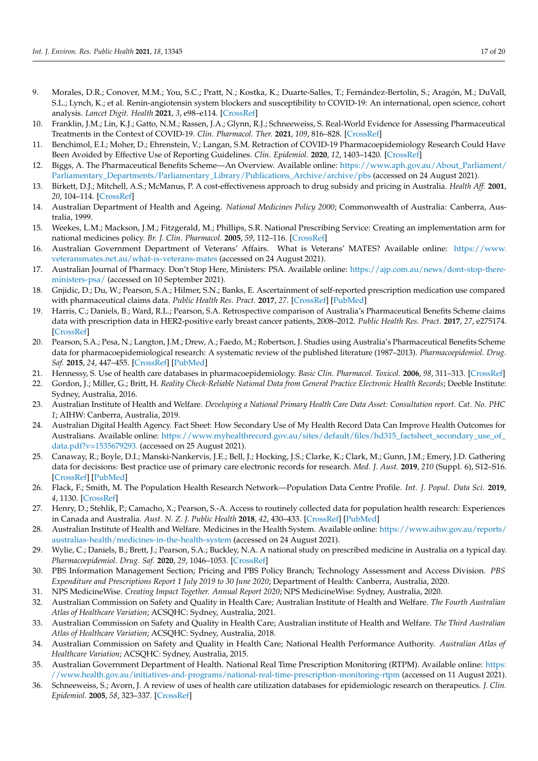- <span id="page-17-0"></span>9. Morales, D.R.; Conover, M.M.; You, S.C.; Pratt, N.; Kostka, K.; Duarte-Salles, T.; Fernández-Bertolín, S.; Aragón, M.; DuVall, S.L.; Lynch, K.; et al. Renin-angiotensin system blockers and susceptibility to COVID-19: An international, open science, cohort analysis. *Lancet Digit. Health* **2021**, *3*, e98–e114. [\[CrossRef\]](http://doi.org/10.1016/S2589-7500(20)30289-2)
- <span id="page-17-1"></span>10. Franklin, J.M.; Lin, K.J.; Gatto, N.M.; Rassen, J.A.; Glynn, R.J.; Schneeweiss, S. Real-World Evidence for Assessing Pharmaceutical Treatments in the Context of COVID-19. *Clin. Pharmacol. Ther.* **2021**, *109*, 816–828. [\[CrossRef\]](http://doi.org/10.1002/cpt.2185)
- <span id="page-17-2"></span>11. Benchimol, E.I.; Moher, D.; Ehrenstein, V.; Langan, S.M. Retraction of COVID-19 Pharmacoepidemiology Research Could Have Been Avoided by Effective Use of Reporting Guidelines. *Clin. Epidemiol.* **2020**, *12*, 1403–1420. [\[CrossRef\]](http://doi.org/10.2147/CLEP.S288677)
- <span id="page-17-3"></span>12. Biggs, A. The Pharmaceutical Benefits Scheme—An Overview. Available online: [https://www.aph.gov.au/About\\_Parliament/](https://www.aph.gov.au/About_Parliament/Parliamentary_Departments/Parliamentary_Library/Publications_Archive/archive/pbs) [Parliamentary\\_Departments/Parliamentary\\_Library/Publications\\_Archive/archive/pbs](https://www.aph.gov.au/About_Parliament/Parliamentary_Departments/Parliamentary_Library/Publications_Archive/archive/pbs) (accessed on 24 August 2021).
- <span id="page-17-4"></span>13. Birkett, D.J.; Mitchell, A.S.; McManus, P. A cost-effectiveness approach to drug subsidy and pricing in Australia. *Health Aff.* **2001**, *20*, 104–114. [\[CrossRef\]](http://doi.org/10.1377/hlthaff.20.3.104)
- <span id="page-17-5"></span>14. Australian Department of Health and Ageing. *National Medicines Policy 2000*; Commonwealth of Australia: Canberra, Australia, 1999.
- <span id="page-17-6"></span>15. Weekes, L.M.; Mackson, J.M.; Fitzgerald, M.; Phillips, S.R. National Prescribing Service: Creating an implementation arm for national medicines policy. *Br. J. Clin. Pharmacol.* **2005**, *59*, 112–116. [\[CrossRef\]](http://doi.org/10.1111/j.1365-2125.2005.02231.x)
- <span id="page-17-7"></span>16. Australian Government Department of Veterans' Affairs. What is Veterans' MATES? Available online: [https://www.](https://www.veteransmates.net.au/what-is-veterans-mates) [veteransmates.net.au/what-is-veterans-mates](https://www.veteransmates.net.au/what-is-veterans-mates) (accessed on 24 August 2021).
- <span id="page-17-8"></span>17. Australian Journal of Pharmacy. Don't Stop Here, Ministers: PSA. Available online: [https://ajp.com.au/news/dont-stop-there](https://ajp.com.au/news/dont-stop-there-ministers-psa/)[ministers-psa/](https://ajp.com.au/news/dont-stop-there-ministers-psa/) (accessed on 10 September 2021).
- <span id="page-17-9"></span>18. Gnjidic, D.; Du, W.; Pearson, S.A.; Hilmer, S.N.; Banks, E. Ascertainment of self-reported prescription medication use compared with pharmaceutical claims data. *Public Health Res. Pract.* **2017**, *27*. [\[CrossRef\]](http://doi.org/10.17061/phrp27341702) [\[PubMed\]](http://www.ncbi.nlm.nih.gov/pubmed/29114718)
- <span id="page-17-10"></span>19. Harris, C.; Daniels, B.; Ward, R.L.; Pearson, S.A. Retrospective comparison of Australia's Pharmaceutical Benefits Scheme claims data with prescription data in HER2-positive early breast cancer patients, 2008–2012. *Public Health Res. Pract.* **2017**, *27*, e275174. [\[CrossRef\]](http://doi.org/10.17061/phrp2751744)
- <span id="page-17-11"></span>20. Pearson, S.A.; Pesa, N.; Langton, J.M.; Drew, A.; Faedo, M.; Robertson, J. Studies using Australia's Pharmaceutical Benefits Scheme data for pharmacoepidemiological research: A systematic review of the published literature (1987–2013). *Pharmacoepidemiol. Drug. Saf.* **2015**, *24*, 447–455. [\[CrossRef\]](http://doi.org/10.1002/pds.3756) [\[PubMed\]](http://www.ncbi.nlm.nih.gov/pubmed/25833702)
- <span id="page-17-12"></span>21. Hennessy, S. Use of health care databases in pharmacoepidemiology. *Basic Clin. Pharmacol. Toxicol.* **2006**, *98*, 311–313. [\[CrossRef\]](http://doi.org/10.1111/j.1742-7843.2006.pto_368.x)
- <span id="page-17-13"></span>22. Gordon, J.; Miller, G.; Britt, H. *Reality Check-Reliable National Data from General Practice Electronic Health Records*; Deeble Institute: Sydney, Australia, 2016.
- <span id="page-17-14"></span>23. Australian Institute of Health and Welfare. *Developing a National Primary Health Care Data Asset: Consultation report. Cat. No. PHC 1*; AIHW: Canberra, Australia, 2019.
- <span id="page-17-15"></span>24. Australian Digital Health Agency. Fact Sheet: How Secondary Use of My Health Record Data Can Improve Health Outcomes for Australians. Available online: [https://www.myhealthrecord.gov.au/sites/default/files/hd315\\_factsheet\\_secondary\\_use\\_of\\_](https://www.myhealthrecord.gov.au/sites/default/files/hd315_factsheet_secondary_use_of_data.pdf?v=1535679293.) [data.pdf?v=1535679293.](https://www.myhealthrecord.gov.au/sites/default/files/hd315_factsheet_secondary_use_of_data.pdf?v=1535679293.) (accessed on 25 August 2021).
- <span id="page-17-16"></span>25. Canaway, R.; Boyle, D.I.; Manski-Nankervis, J.E.; Bell, J.; Hocking, J.S.; Clarke, K.; Clark, M.; Gunn, J.M.; Emery, J.D. Gathering data for decisions: Best practice use of primary care electronic records for research. *Med. J. Aust.* **2019**, *210* (Suppl. 6), S12–S16. [\[CrossRef\]](http://doi.org/10.5694/mja2.50026) [\[PubMed\]](http://www.ncbi.nlm.nih.gov/pubmed/30927466)
- <span id="page-17-17"></span>26. Flack, F.; Smith, M. The Population Health Research Network—Population Data Centre Profile. *Int. J. Popul. Data Sci.* **2019**, *4*, 1130. [\[CrossRef\]](http://doi.org/10.23889/ijpds.v4i2.1130)
- <span id="page-17-18"></span>27. Henry, D.; Stehlik, P.; Camacho, X.; Pearson, S.-A. Access to routinely collected data for population health research: Experiences in Canada and Australia. *Aust. N. Z. J. Public Health* **2018**, *42*, 430–433. [\[CrossRef\]](http://doi.org/10.1111/1753-6405.12813) [\[PubMed\]](http://www.ncbi.nlm.nih.gov/pubmed/30035837)
- <span id="page-17-19"></span>28. Australian Institute of Health and Welfare. Medicines in the Health System. Available online: [https://www.aihw.gov.au/reports/](https://www.aihw.gov.au/reports/australias-health/medicines-in-the-health-system) [australias-health/medicines-in-the-health-system](https://www.aihw.gov.au/reports/australias-health/medicines-in-the-health-system) (accessed on 24 August 2021).
- <span id="page-17-20"></span>29. Wylie, C.; Daniels, B.; Brett, J.; Pearson, S.A.; Buckley, N.A. A national study on prescribed medicine in Australia on a typical day. *Pharmacoepidemiol. Drug. Saf.* **2020**, *29*, 1046–1053. [\[CrossRef\]](http://doi.org/10.1002/pds.5093)
- <span id="page-17-21"></span>30. PBS Information Management Section; Pricing and PBS Policy Branch; Technology Assessment and Access Division. *PBS Expenditure and Prescriptions Report 1 July 2019 to 30 June 2020*; Department of Health: Canberra, Australia, 2020.
- <span id="page-17-22"></span>31. NPS MedicineWise. *Creating Impact Together. Annual Report 2020*; NPS MedicineWise: Sydney, Australia, 2020.
- <span id="page-17-23"></span>32. Australian Commission on Safety and Quality in Health Care; Australian Institute of Health and Welfare. *The Fourth Australian Atlas of Healthcare Variation*; ACSQHC: Sydney, Australia, 2021.
- 33. Australian Commission on Safety and Quality in Health Care; Australian institute of Health and Welfare. *The Third Australian Atlas of Healthcare Variation*; ACSQHC: Sydney, Australia, 2018.
- <span id="page-17-24"></span>34. Australian Commission on Safety and Quality in Health Care; National Health Performance Authority. *Australian Atlas of Healthcare Variation*; ACSQHC: Sydney, Australia, 2015.
- <span id="page-17-25"></span>35. Australian Government Department of Health. National Real Time Prescription Monitoring (RTPM). Available online: [https:](https://www.health.gov.au/initiatives-and-programs/national-real-time-prescription-monitoring-rtpm) [//www.health.gov.au/initiatives-and-programs/national-real-time-prescription-monitoring-rtpm](https://www.health.gov.au/initiatives-and-programs/national-real-time-prescription-monitoring-rtpm) (accessed on 11 August 2021).
- <span id="page-17-26"></span>36. Schneeweiss, S.; Avorn, J. A review of uses of health care utilization databases for epidemiologic research on therapeutics. *J. Clin. Epidemiol.* **2005**, *58*, 323–337. [\[CrossRef\]](http://doi.org/10.1016/j.jclinepi.2004.10.012)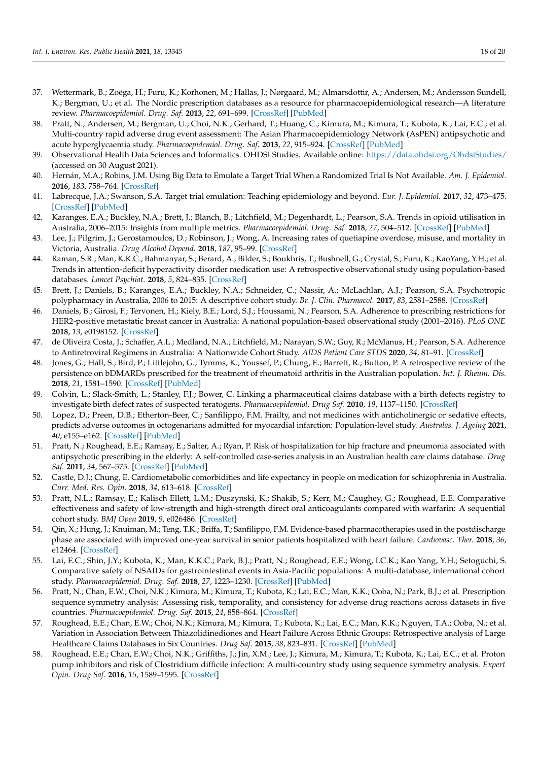- <span id="page-18-11"></span>37. Wettermark, B.; Zoëga, H.; Furu, K.; Korhonen, M.; Hallas, J.; Nørgaard, M.; Almarsdottir, A.; Andersen, M.; Andersson Sundell, K.; Bergman, U.; et al. The Nordic prescription databases as a resource for pharmacoepidemiological research—A literature review. *Pharmacoepidemiol. Drug. Saf.* **2013**, *22*, 691–699. [\[CrossRef\]](http://doi.org/10.1002/pds.3457) [\[PubMed\]](http://www.ncbi.nlm.nih.gov/pubmed/23703712)
- <span id="page-18-8"></span>38. Pratt, N.; Andersen, M.; Bergman, U.; Choi, N.K.; Gerhard, T.; Huang, C.; Kimura, M.; Kimura, T.; Kubota, K.; Lai, E.C.; et al. Multi-country rapid adverse drug event assessment: The Asian Pharmacoepidemiology Network (AsPEN) antipsychotic and acute hyperglycaemia study. *Pharmacoepidemiol. Drug. Saf.* **2013**, *22*, 915–924. [\[CrossRef\]](http://doi.org/10.1002/pds.3440) [\[PubMed\]](http://www.ncbi.nlm.nih.gov/pubmed/23696036)
- <span id="page-18-0"></span>39. Observational Health Data Sciences and Informatics. OHDSI Studies. Available online: <https://data.ohdsi.org/OhdsiStudies/> (accessed on 30 August 2021).
- <span id="page-18-1"></span>40. Hernán, M.A.; Robins, J.M. Using Big Data to Emulate a Target Trial When a Randomized Trial Is Not Available. *Am. J. Epidemiol.* **2016**, *183*, 758–764. [\[CrossRef\]](http://doi.org/10.1093/aje/kwv254)
- <span id="page-18-2"></span>41. Labrecque, J.A.; Swanson, S.A. Target trial emulation: Teaching epidemiology and beyond. *Eur. J. Epidemiol.* **2017**, *32*, 473–475. [\[CrossRef\]](http://doi.org/10.1007/s10654-017-0293-4) [\[PubMed\]](http://www.ncbi.nlm.nih.gov/pubmed/28770358)
- <span id="page-18-3"></span>42. Karanges, E.A.; Buckley, N.A.; Brett, J.; Blanch, B.; Litchfield, M.; Degenhardt, L.; Pearson, S.A. Trends in opioid utilisation in Australia, 2006–2015: Insights from multiple metrics. *Pharmacoepidemiol. Drug. Saf.* **2018**, *27*, 504–512. [\[CrossRef\]](http://doi.org/10.1002/pds.4369) [\[PubMed\]](http://www.ncbi.nlm.nih.gov/pubmed/29280224)
- 43. Lee, J.; Pilgrim, J.; Gerostamoulos, D.; Robinson, J.; Wong, A. Increasing rates of quetiapine overdose, misuse, and mortality in Victoria, Australia. *Drug Alcohol Depend.* **2018**, *187*, 95–99. [\[CrossRef\]](http://doi.org/10.1016/j.drugalcdep.2018.03.002)
- <span id="page-18-10"></span>44. Raman, S.R.; Man, K.K.C.; Bahmanyar, S.; Berard, A.; Bilder, S.; Boukhris, T.; Bushnell, G.; Crystal, S.; Furu, K.; KaoYang, Y.H.; et al. Trends in attention-deficit hyperactivity disorder medication use: A retrospective observational study using population-based databases. *Lancet Psychiat.* **2018**, *5*, 824–835. [\[CrossRef\]](http://doi.org/10.1016/S2215-0366(18)30293-1)
- 45. Brett, J.; Daniels, B.; Karanges, E.A.; Buckley, N.A.; Schneider, C.; Nassir, A.; McLachlan, A.J.; Pearson, S.A. Psychotropic polypharmacy in Australia, 2006 to 2015: A descriptive cohort study. *Br. J. Clin. Pharmacol.* **2017**, *83*, 2581–2588. [\[CrossRef\]](http://doi.org/10.1111/bcp.13369)
- 46. Daniels, B.; Girosi, F.; Tervonen, H.; Kiely, B.E.; Lord, S.J.; Houssami, N.; Pearson, S.A. Adherence to prescribing restrictions for HER2-positive metastatic breast cancer in Australia: A national population-based observational study (2001–2016). *PLoS ONE* **2018**, *13*, e0198152. [\[CrossRef\]](http://doi.org/10.1371/journal.pone.0198152)
- 47. de Oliveira Costa, J.; Schaffer, A.L.; Medland, N.A.; Litchfield, M.; Narayan, S.W.; Guy, R.; McManus, H.; Pearson, S.A. Adherence to Antiretroviral Regimens in Australia: A Nationwide Cohort Study. *AIDS Patient Care STDS* **2020**, *34*, 81–91. [\[CrossRef\]](http://doi.org/10.1089/apc.2019.0278)
- <span id="page-18-4"></span>48. Jones, G.; Hall, S.; Bird, P.; Littlejohn, G.; Tymms, K.; Youssef, P.; Chung, E.; Barrett, R.; Button, P. A retrospective review of the persistence on bDMARDs prescribed for the treatment of rheumatoid arthritis in the Australian population. *Int. J. Rheum. Dis.* **2018**, *21*, 1581–1590. [\[CrossRef\]](http://doi.org/10.1111/1756-185X.13243) [\[PubMed\]](http://www.ncbi.nlm.nih.gov/pubmed/29205926)
- <span id="page-18-5"></span>49. Colvin, L.; Slack-Smith, L.; Stanley, F.J.; Bower, C. Linking a pharmaceutical claims database with a birth defects registry to investigate birth defect rates of suspected teratogens. *Pharmacoepidemiol. Drug Saf.* **2010**, *19*, 1137–1150. [\[CrossRef\]](http://doi.org/10.1002/pds.1995)
- 50. Lopez, D.; Preen, D.B.; Etherton-Beer, C.; Sanfilippo, F.M. Frailty, and not medicines with anticholinergic or sedative effects, predicts adverse outcomes in octogenarians admitted for myocardial infarction: Population-level study. *Australas. J. Ageing* **2021**, *40*, e155–e162. [\[CrossRef\]](http://doi.org/10.1111/ajag.12891) [\[PubMed\]](http://www.ncbi.nlm.nih.gov/pubmed/33615643)
- 51. Pratt, N.; Roughead, E.E.; Ramsay, E.; Salter, A.; Ryan, P. Risk of hospitalization for hip fracture and pneumonia associated with antipsychotic prescribing in the elderly: A self-controlled case-series analysis in an Australian health care claims database. *Drug Saf.* **2011**, *34*, 567–575. [\[CrossRef\]](http://doi.org/10.2165/11588470-000000000-00000) [\[PubMed\]](http://www.ncbi.nlm.nih.gov/pubmed/21663332)
- 52. Castle, D.J.; Chung, E. Cardiometabolic comorbidities and life expectancy in people on medication for schizophrenia in Australia. *Curr. Med. Res. Opin.* **2018**, *34*, 613–618. [\[CrossRef\]](http://doi.org/10.1080/03007995.2017.1419946)
- <span id="page-18-6"></span>53. Pratt, N.L.; Ramsay, E.; Kalisch Ellett, L.M.; Duszynski, K.; Shakib, S.; Kerr, M.; Caughey, G.; Roughead, E.E. Comparative effectiveness and safety of low-strength and high-strength direct oral anticoagulants compared with warfarin: A sequential cohort study. *BMJ Open* **2019**, *9*, e026486. [\[CrossRef\]](http://doi.org/10.1136/bmjopen-2018-026486)
- <span id="page-18-7"></span>54. Qin, X.; Hung, J.; Knuiman, M.; Teng, T.K.; Briffa, T.; Sanfilippo, F.M. Evidence-based pharmacotherapies used in the postdischarge phase are associated with improved one-year survival in senior patients hospitalized with heart failure. *Cardiovasc. Ther.* **2018**, *36*, e12464. [\[CrossRef\]](http://doi.org/10.1111/1755-5922.12464)
- <span id="page-18-9"></span>55. Lai, E.C.; Shin, J.Y.; Kubota, K.; Man, K.K.C.; Park, B.J.; Pratt, N.; Roughead, E.E.; Wong, I.C.K.; Kao Yang, Y.H.; Setoguchi, S. Comparative safety of NSAIDs for gastrointestinal events in Asia-Pacific populations: A multi-database, international cohort study. *Pharmacoepidemiol. Drug. Saf.* **2018**, *27*, 1223–1230. [\[CrossRef\]](http://doi.org/10.1002/pds.4663) [\[PubMed\]](http://www.ncbi.nlm.nih.gov/pubmed/30232832)
- 56. Pratt, N.; Chan, E.W.; Choi, N.K.; Kimura, M.; Kimura, T.; Kubota, K.; Lai, E.C.; Man, K.K.; Ooba, N.; Park, B.J.; et al. Prescription sequence symmetry analysis: Assessing risk, temporality, and consistency for adverse drug reactions across datasets in five countries. *Pharmacoepidemiol. Drug. Saf.* **2015**, *24*, 858–864. [\[CrossRef\]](http://doi.org/10.1002/pds.3780)
- 57. Roughead, E.E.; Chan, E.W.; Choi, N.K.; Kimura, M.; Kimura, T.; Kubota, K.; Lai, E.C.; Man, K.K.; Nguyen, T.A.; Ooba, N.; et al. Variation in Association Between Thiazolidinediones and Heart Failure Across Ethnic Groups: Retrospective analysis of Large Healthcare Claims Databases in Six Countries. *Drug Saf.* **2015**, *38*, 823–831. [\[CrossRef\]](http://doi.org/10.1007/s40264-015-0318-4) [\[PubMed\]](http://www.ncbi.nlm.nih.gov/pubmed/26216600)
- 58. Roughead, E.E.; Chan, E.W.; Choi, N.K.; Griffiths, J.; Jin, X.M.; Lee, J.; Kimura, M.; Kimura, T.; Kubota, K.; Lai, E.C.; et al. Proton pump inhibitors and risk of Clostridium difficile infection: A multi-country study using sequence symmetry analysis. *Expert Opin. Drug Saf.* **2016**, *15*, 1589–1595. [\[CrossRef\]](http://doi.org/10.1080/14740338.2016.1238071)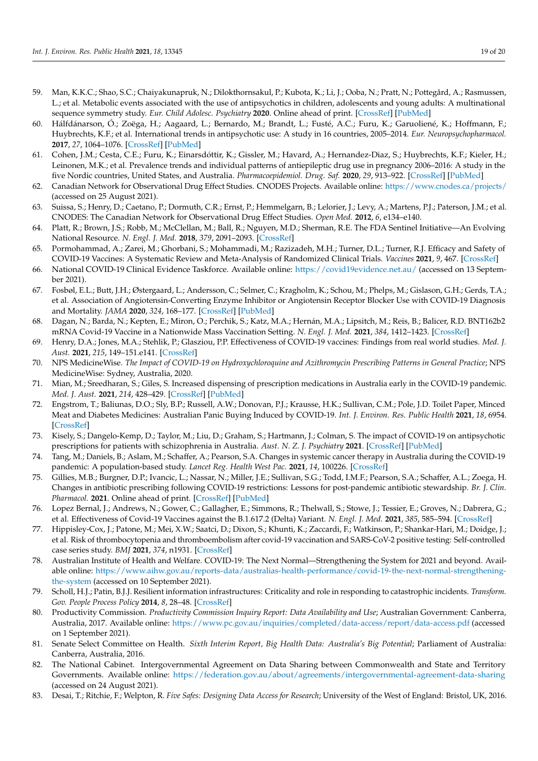- <span id="page-19-0"></span>59. Man, K.K.C.; Shao, S.C.; Chaiyakunapruk, N.; Dilokthornsakul, P.; Kubota, K.; Li, J.; Ooba, N.; Pratt, N.; Pottegård, A.; Rasmussen, L.; et al. Metabolic events associated with the use of antipsychotics in children, adolescents and young adults: A multinational sequence symmetry study. *Eur. Child Adolesc. Psychiatry* **2020**. Online ahead of print. [\[CrossRef\]](http://doi.org/10.1007/s00787-020-01674-6) [\[PubMed\]](http://www.ncbi.nlm.nih.gov/pubmed/33185773)
- <span id="page-19-1"></span>60. Hálfdánarson, Ó.; Zoëga, H.; Aagaard, L.; Bernardo, M.; Brandt, L.; Fusté, A.C.; Furu, K.; Garuoliené, K.; Hoffmann, F.; Huybrechts, K.F.; et al. International trends in antipsychotic use: A study in 16 countries, 2005–2014. *Eur. Neuropsychopharmacol.* **2017**, *27*, 1064–1076. [\[CrossRef\]](http://doi.org/10.1016/j.euroneuro.2017.07.001) [\[PubMed\]](http://www.ncbi.nlm.nih.gov/pubmed/28755801)
- <span id="page-19-2"></span>61. Cohen, J.M.; Cesta, C.E.; Furu, K.; Einarsdóttir, K.; Gissler, M.; Havard, A.; Hernandez-Diaz, S.; Huybrechts, K.F.; Kieler, H.; Leinonen, M.K.; et al. Prevalence trends and individual patterns of antiepileptic drug use in pregnancy 2006–2016: A study in the five Nordic countries, United States, and Australia. *Pharmacoepidemiol. Drug. Saf.* **2020**, *29*, 913–922. [\[CrossRef\]](http://doi.org/10.1002/pds.5035) [\[PubMed\]](http://www.ncbi.nlm.nih.gov/pubmed/32492755)
- <span id="page-19-3"></span>62. Canadian Network for Observational Drug Effect Studies. CNODES Projects. Available online: <https://www.cnodes.ca/projects/> (accessed on 25 August 2021).
- 63. Suissa, S.; Henry, D.; Caetano, P.; Dormuth, C.R.; Ernst, P.; Hemmelgarn, B.; Lelorier, J.; Levy, A.; Martens, P.J.; Paterson, J.M.; et al. CNODES: The Canadian Network for Observational Drug Effect Studies. *Open Med.* **2012**, *6*, e134–e140.
- <span id="page-19-4"></span>64. Platt, R.; Brown, J.S.; Robb, M.; McClellan, M.; Ball, R.; Nguyen, M.D.; Sherman, R.E. The FDA Sentinel Initiative—An Evolving National Resource. *N. Engl. J. Med.* **2018**, *379*, 2091–2093. [\[CrossRef\]](http://doi.org/10.1056/NEJMp1809643)
- <span id="page-19-5"></span>65. Pormohammad, A.; Zarei, M.; Ghorbani, S.; Mohammadi, M.; Razizadeh, M.H.; Turner, D.L.; Turner, R.J. Efficacy and Safety of COVID-19 Vaccines: A Systematic Review and Meta-Analysis of Randomized Clinical Trials. *Vaccines* **2021**, *9*, 467. [\[CrossRef\]](http://doi.org/10.3390/vaccines9050467)
- <span id="page-19-6"></span>66. National COVID-19 Clinical Evidence Taskforce. Available online: <https://covid19evidence.net.au/> (accessed on 13 September 2021).
- <span id="page-19-7"></span>67. Fosbøl, E.L.; Butt, J.H.; Østergaard, L.; Andersson, C.; Selmer, C.; Kragholm, K.; Schou, M.; Phelps, M.; Gislason, G.H.; Gerds, T.A.; et al. Association of Angiotensin-Converting Enzyme Inhibitor or Angiotensin Receptor Blocker Use with COVID-19 Diagnosis and Mortality. *JAMA* **2020**, *324*, 168–177. [\[CrossRef\]](http://doi.org/10.1001/jama.2020.11301) [\[PubMed\]](http://www.ncbi.nlm.nih.gov/pubmed/32558877)
- 68. Dagan, N.; Barda, N.; Kepten, E.; Miron, O.; Perchik, S.; Katz, M.A.; Hernán, M.A.; Lipsitch, M.; Reis, B.; Balicer, R.D. BNT162b2 mRNA Covid-19 Vaccine in a Nationwide Mass Vaccination Setting. *N. Engl. J. Med.* **2021**, *384*, 1412–1423. [\[CrossRef\]](http://doi.org/10.1056/NEJMoa2101765)
- <span id="page-19-8"></span>69. Henry, D.A.; Jones, M.A.; Stehlik, P.; Glasziou, P.P. Effectiveness of COVID-19 vaccines: Findings from real world studies. *Med. J. Aust.* **2021**, *215*, 149–151.e141. [\[CrossRef\]](http://doi.org/10.5694/mja2.51182)
- <span id="page-19-9"></span>70. NPS MedicineWise. *The Impact of COVID-19 on Hydroxychloroquine and Azithromycin Prescribing Patterns in General Practice*; NPS MedicineWise: Sydney, Australia, 2020.
- 71. Mian, M.; Sreedharan, S.; Giles, S. Increased dispensing of prescription medications in Australia early in the COVID-19 pandemic. *Med. J. Aust.* **2021**, *214*, 428–429. [\[CrossRef\]](http://doi.org/10.5694/mja2.51029) [\[PubMed\]](http://www.ncbi.nlm.nih.gov/pubmed/33884634)
- 72. Engstrom, T.; Baliunas, D.O.; Sly, B.P.; Russell, A.W.; Donovan, P.J.; Krausse, H.K.; Sullivan, C.M.; Pole, J.D. Toilet Paper, Minced Meat and Diabetes Medicines: Australian Panic Buying Induced by COVID-19. *Int. J. Environ. Res. Public Health* **2021**, *18*, 6954. [\[CrossRef\]](http://doi.org/10.3390/ijerph18136954)
- 73. Kisely, S.; Dangelo-Kemp, D.; Taylor, M.; Liu, D.; Graham, S.; Hartmann, J.; Colman, S. The impact of COVID-19 on antipsychotic prescriptions for patients with schizophrenia in Australia. *Aust. N. Z. J. Psychiatry* **2021**. [\[CrossRef\]](http://doi.org/10.1177/00048674211025716) [\[PubMed\]](http://www.ncbi.nlm.nih.gov/pubmed/34240634)
- 74. Tang, M.; Daniels, B.; Aslam, M.; Schaffer, A.; Pearson, S.A. Changes in systemic cancer therapy in Australia during the COVID-19 pandemic: A population-based study. *Lancet Reg. Health West Pac.* **2021**, *14*, 100226. [\[CrossRef\]](http://doi.org/10.1016/j.lanwpc.2021.100226)
- <span id="page-19-10"></span>75. Gillies, M.B.; Burgner, D.P.; Ivancic, L.; Nassar, N.; Miller, J.E.; Sullivan, S.G.; Todd, I.M.F.; Pearson, S.A.; Schaffer, A.L.; Zoega, H. Changes in antibiotic prescribing following COVID-19 restrictions: Lessons for post-pandemic antibiotic stewardship. *Br. J. Clin. Pharmacol.* **2021**. Online ahead of print. [\[CrossRef\]](http://doi.org/10.1111/bcp.15000) [\[PubMed\]](http://www.ncbi.nlm.nih.gov/pubmed/34405427)
- <span id="page-19-11"></span>76. Lopez Bernal, J.; Andrews, N.; Gower, C.; Gallagher, E.; Simmons, R.; Thelwall, S.; Stowe, J.; Tessier, E.; Groves, N.; Dabrera, G.; et al. Effectiveness of Covid-19 Vaccines against the B.1.617.2 (Delta) Variant. *N. Engl. J. Med.* **2021**, *385*, 585–594. [\[CrossRef\]](http://doi.org/10.1056/NEJMoa2108891)
- <span id="page-19-12"></span>77. Hippisley-Cox, J.; Patone, M.; Mei, X.W.; Saatci, D.; Dixon, S.; Khunti, K.; Zaccardi, F.; Watkinson, P.; Shankar-Hari, M.; Doidge, J.; et al. Risk of thrombocytopenia and thromboembolism after covid-19 vaccination and SARS-CoV-2 positive testing: Self-controlled case series study. *BMJ* **2021**, *374*, n1931. [\[CrossRef\]](http://doi.org/10.1136/bmj.n1931)
- <span id="page-19-13"></span>78. Australian Institute of Health and Welfare. COVID-19: The Next Normal—Strengthening the System for 2021 and beyond. Available online: [https://www.aihw.gov.au/reports-data/australias-health-performance/covid-19-the-next-normal-strengthening](https://www.aihw.gov.au/reports-data/australias-health-performance/covid-19-the-next-normal-strengthening-the-system)[the-system](https://www.aihw.gov.au/reports-data/australias-health-performance/covid-19-the-next-normal-strengthening-the-system) (accessed on 10 September 2021).
- <span id="page-19-14"></span>79. Scholl, H.J.; Patin, B.J.J. Resilient information infrastructures: Criticality and role in responding to catastrophic incidents. *Transform. Gov. People Process Policy* **2014**, *8*, 28–48. [\[CrossRef\]](http://doi.org/10.1108/TG-12-2012-0015)
- <span id="page-19-15"></span>80. Productivity Commission. *Productivity Commission Inquiry Report: Data Availability and Use*; Australian Government: Canberra, Australia, 2017. Available online: <https://www.pc.gov.au/inquiries/completed/data-access/report/data-access.pdf> (accessed on 1 September 2021).
- <span id="page-19-16"></span>81. Senate Select Committee on Health. *Sixth Interim Report, Big Health Data: Australia's Big Potential*; Parliament of Australia: Canberra, Australia, 2016.
- <span id="page-19-17"></span>82. The National Cabinet. Intergovernmental Agreement on Data Sharing between Commonwealth and State and Territory Governments. Available online: <https://federation.gov.au/about/agreements/intergovernmental-agreement-data-sharing> (accessed on 24 August 2021).
- <span id="page-19-18"></span>83. Desai, T.; Ritchie, F.; Welpton, R. *Five Safes: Designing Data Access for Research*; University of the West of England: Bristol, UK, 2016.